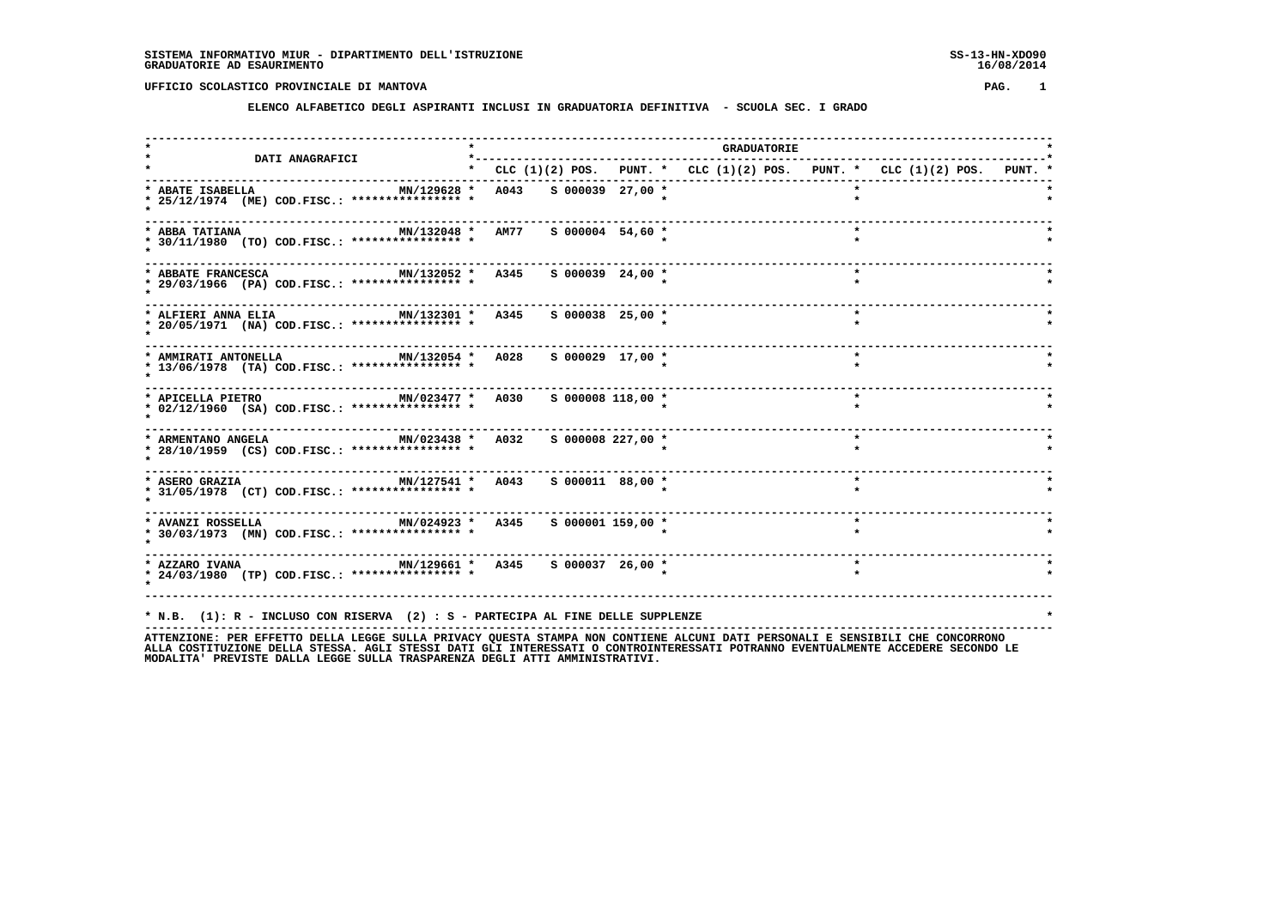#### **ELENCO ALFABETICO DEGLI ASPIRANTI INCLUSI IN GRADUATORIA DEFINITIVA - SCUOLA SEC. I GRADO**

 **------------------------------------------------------------------------------------------------------------------------------------ \* \* GRADUATORIE \* \* DATI ANAGRAFICI \*-----------------------------------------------------------------------------------\* \* \* CLC (1)(2) POS. PUNT. \* CLC (1)(2) POS. PUNT. \* CLC (1)(2) POS. PUNT. \* ------------------------------------------------------------------------------------------------------------------------------------ \* ABATE ISABELLA MN/129628 \* A043 S 000039 27,00 \* \* \* \* 25/12/1974 (ME) COD.FISC.: \*\*\*\*\*\*\*\*\*\*\*\*\*\*\*\* \* \* \* \* \* ------------------------------------------------------------------------------------------------------------------------------------ \* ABBA TATIANA MN/132048 \* AM77 S 000004 54,60 \* \* \* \* 30/11/1980 (TO) COD.FISC.: \*\*\*\*\*\*\*\*\*\*\*\*\*\*\*\* \* \* \* \* \* ------------------------------------------------------------------------------------------------------------------------------------ \* ABBATE FRANCESCA MN/132052 \* A345 S 000039 24,00 \* \* \* \* 29/03/1966 (PA) COD.FISC.: \*\*\*\*\*\*\*\*\*\*\*\*\*\*\*\* \* \* \* \* \* ------------------------------------------------------------------------------------------------------------------------------------ \* ALFIERI ANNA ELIA MN/132301 \* A345 S 000038 25,00 \* \* \* \* 20/05/1971 (NA) COD.FISC.: \*\*\*\*\*\*\*\*\*\*\*\*\*\*\*\* \* \* \* \* \***---------------------- **------------------------------------------------------------------------------------------------------------------------------------ \* AMMIRATI ANTONELLA MN/132054 \* A028 S 000029 17,00 \* \* \* \* 13/06/1978 (TA) COD.FISC.: \*\*\*\*\*\*\*\*\*\*\*\*\*\*\*\* \* \* \* \* \* ------------------------------------------------------------------------------------------------------------------------------------ \* APICELLA PIETRO MN/023477 \* A030 S 000008 118,00 \* \* \* \* 02/12/1960 (SA) COD.FISC.: \*\*\*\*\*\*\*\*\*\*\*\*\*\*\*\* \* \* \* \* \* ------------------------------------------------------------------------------------------------------------------------------------ \* ARMENTANO ANGELA MN/023438 \* A032 S 000008 227,00 \* \* \* \* 28/10/1959 (CS) COD.FISC.: \*\*\*\*\*\*\*\*\*\*\*\*\*\*\*\* \* \* \* \* \* ------------------------------------------------------------------------------------------------------------------------------------ \* ASERO GRAZIA MN/127541 \* A043 S 000011 88,00 \* \* \* \* 31/05/1978 (CT) COD.FISC.: \*\*\*\*\*\*\*\*\*\*\*\*\*\*\*\* \* \* \* \* \* ------------------------------------------------------------------------------------------------------------------------------------ \* AVANZI ROSSELLA MN/024923 \* A345 S 000001 159,00 \* \* \* \* 30/03/1973 (MN) COD.FISC.: \*\*\*\*\*\*\*\*\*\*\*\*\*\*\*\* \* \* \* \* \* ------------------------------------------------------------------------------------------------------------------------------------ \* AZZARO IVANA MN/129661 \* A345 S 000037 26,00 \* \* \* \* 24/03/1980 (TP) COD.FISC.: \*\*\*\*\*\*\*\*\*\*\*\*\*\*\*\* \* \* \* \* \* ------------------------------------------------------------------------------------------------------------------------------------ \* N.B. (1): R - INCLUSO CON RISERVA (2) : S - PARTECIPA AL FINE DELLE SUPPLENZE \***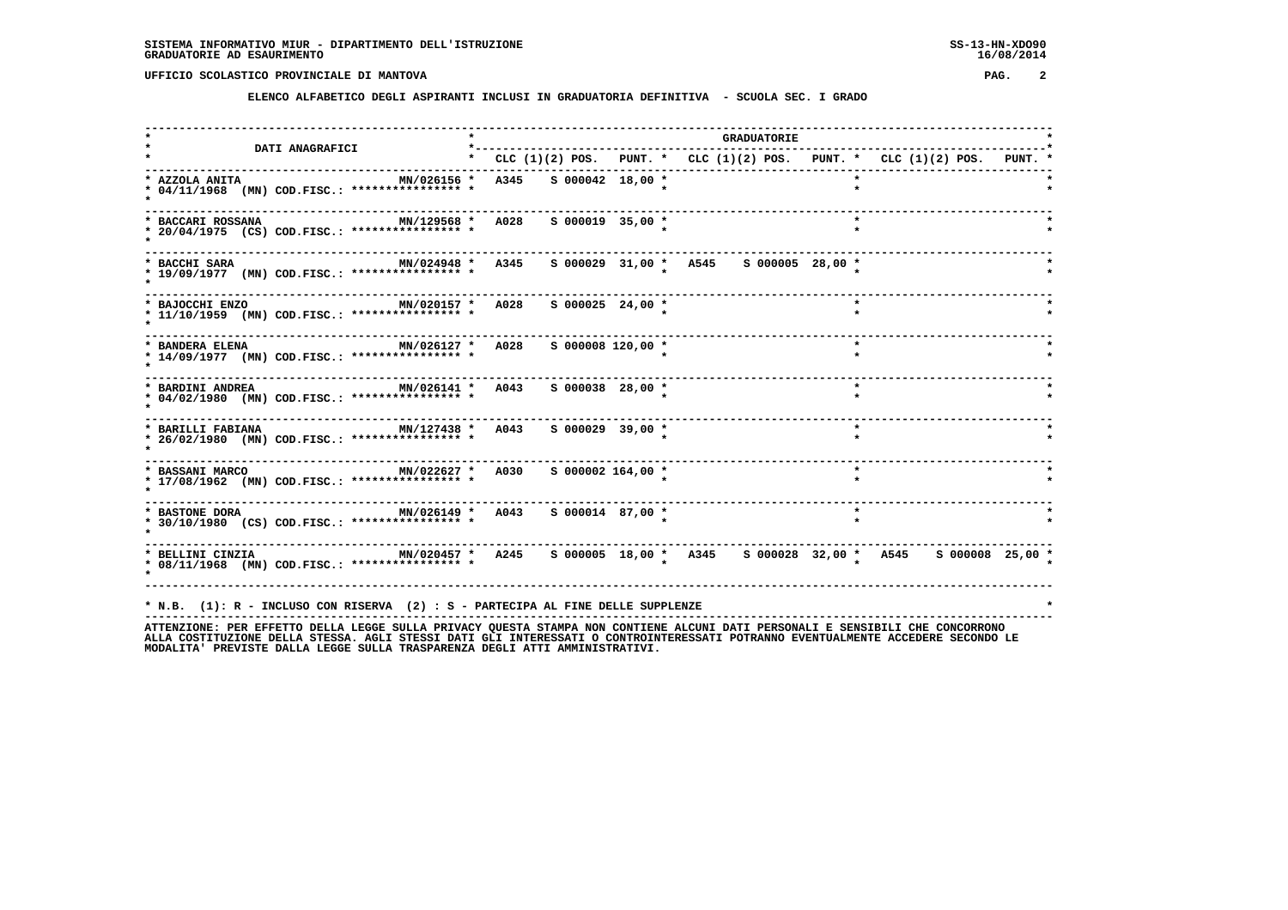**ELENCO ALFABETICO DEGLI ASPIRANTI INCLUSI IN GRADUATORIA DEFINITIVA - SCUOLA SEC. I GRADO**

|                                                                                                                                                         |      |                         |                                        | <b>GRADUATORIE</b> |         |                                                                           |  |
|---------------------------------------------------------------------------------------------------------------------------------------------------------|------|-------------------------|----------------------------------------|--------------------|---------|---------------------------------------------------------------------------|--|
| <b>DATI ANAGRAFICI</b>                                                                                                                                  |      | ----------------------- |                                        |                    |         | * CLC (1)(2) POS. PUNT. * CLC (1)(2) POS. PUNT. * CLC (1)(2) POS. PUNT. * |  |
| MN/026156 *<br>* AZZOLA ANITA<br>* 04/11/1968 (MN) COD.FISC.: **************** *                                                                        | A345 | S 000042 18,00 *        |                                        |                    |         |                                                                           |  |
| MN/129568 * A028<br>* BACCARI ROSSANA<br>* 20/04/1975 (CS) COD.FISC.: **************** *                                                                |      | $S$ 000019 35,00 $*$    |                                        |                    | $\star$ |                                                                           |  |
| MN/024948 * A345<br>* BACCHI SARA<br>* 19/09/1977 (MN) COD.FISC.: **************** *                                                                    |      |                         | s 000029 31,00 * A545 s 000005 28,00 * |                    |         |                                                                           |  |
| MIN/020157 * A028<br>* BAJOCCHI ENZO<br>* 11/10/1959 (MN) COD.FISC.: **************** *                                                                 |      | $S$ 000025 24,00 *      |                                        |                    | $\star$ |                                                                           |  |
| MN/026127 * A028<br>* BANDERA ELENA<br>* 14/09/1977 (MN) COD.FISC.: **************** *                                                                  |      | $S$ 000008 120,00 $*$   |                                        |                    | $\star$ |                                                                           |  |
| MN/026141 * A043<br>* BARDINI ANDREA<br>* 04/02/1980 (MN) COD.FISC.: **************** *                                                                 |      | S 000038 28,00 *        |                                        |                    | $\star$ |                                                                           |  |
| MN/127438 * A043<br>* BARILLI FABIANA<br>* 26/02/1980 (MN) COD.FISC.: **************** *                                                                |      | S 000029 39,00 *        |                                        |                    | $\star$ |                                                                           |  |
| * BASSANI MARCO <b>MN/022627 *</b> A030<br>* 17/08/1962 (MN) COD.FISC.: **************** *                                                              |      | S 000002 164,00 *       |                                        |                    | $\star$ |                                                                           |  |
| * 30/10/1980 (CS) COD.FISC.: **************** *                                                                                                         |      |                         |                                        |                    | $\star$ |                                                                           |  |
| MN/020457 * A245  S 000005 18,00 * A345  S 000028 32,00 * A545  S 000008 25,00 *<br>* BELLINI CINZIA<br>* 08/11/1968 (MN) COD.FISC.: **************** * |      |                         |                                        |                    |         |                                                                           |  |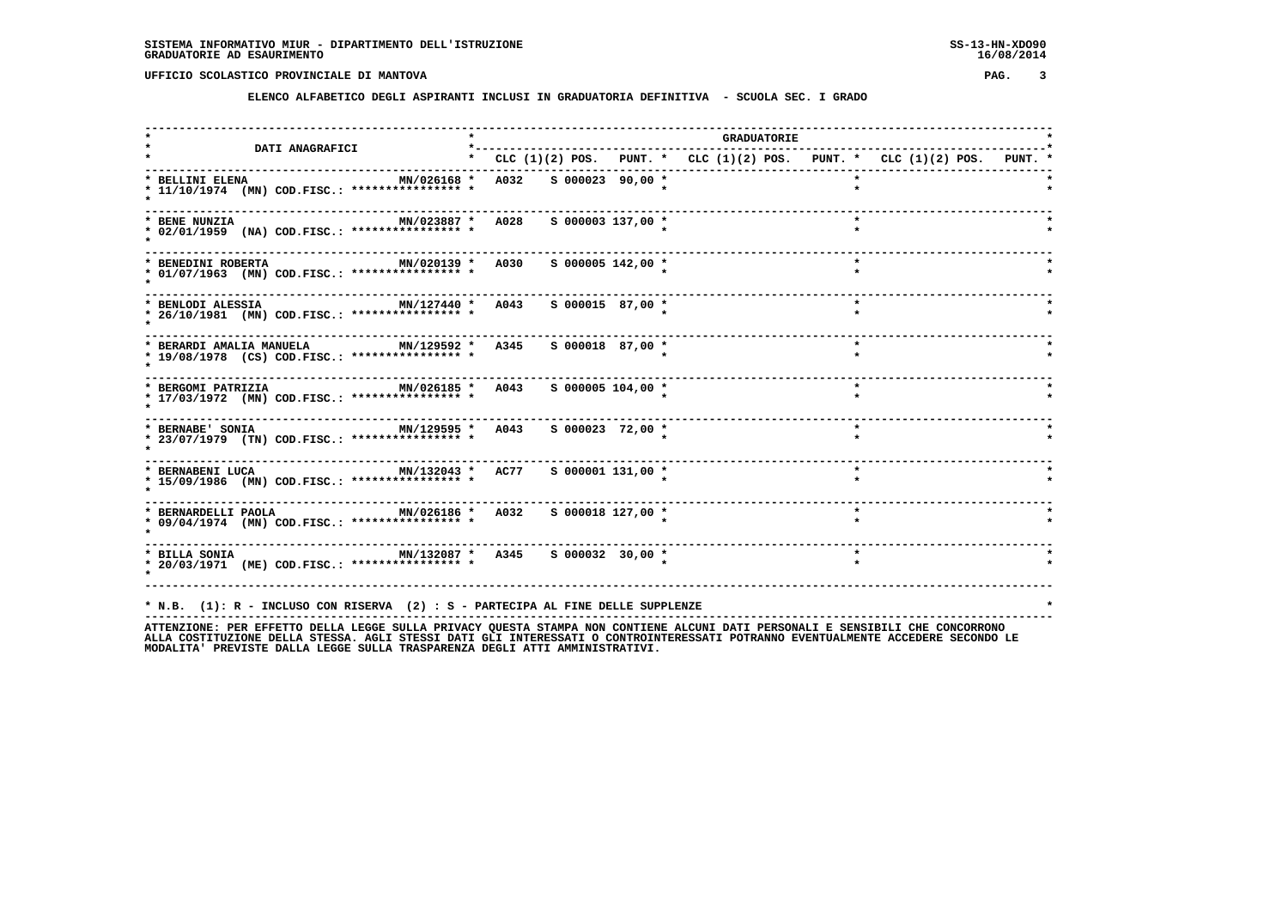**ELENCO ALFABETICO DEGLI ASPIRANTI INCLUSI IN GRADUATORIA DEFINITIVA - SCUOLA SEC. I GRADO**

| <b>DATI ANAGRAFICI</b>                                                                                                               | $*$ $-$ |                       |                       |                                                                                 | <b>GRADUATORIE</b> |         |  |  |
|--------------------------------------------------------------------------------------------------------------------------------------|---------|-----------------------|-----------------------|---------------------------------------------------------------------------------|--------------------|---------|--|--|
|                                                                                                                                      |         |                       |                       | * CLC $(1)(2)$ POS. PUNT. * CLC $(1)(2)$ POS. PUNT. * CLC $(1)(2)$ POS. PUNT. * |                    |         |  |  |
| * BELLINI ELENA<br>MN/026168 *<br>* 11/10/1974 (MN) COD.FISC.: **************** *                                                    |         | A032 S 000023 90,00 * |                       |                                                                                 |                    |         |  |  |
| MN/023887 * A028<br>* BENE NUNZIA<br>* 02/01/1959 (NA) COD.FISC.: **************** *                                                 |         |                       | $S$ 000003 137,00 $*$ |                                                                                 |                    | $\star$ |  |  |
| MN/020139 * A030<br>* BENEDINI ROBERTA<br>* 01/07/1963 (MN) COD.FISC.: **************** *                                            |         |                       | $S$ 000005 142,00 *   |                                                                                 |                    | $\star$ |  |  |
| MN/127440 * A043<br>* BENLODI ALESSIA<br>* 26/10/1981 (MN) COD.FISC.: **************** *                                             |         |                       | S 000015 87,00 *      |                                                                                 |                    | $\star$ |  |  |
| MN/129592 * A345<br>* BERARDI AMALIA MANUELA<br>* 19/08/1978 (CS) COD.FISC.: **************** *                                      |         |                       | $S$ 000018 87,00 *    |                                                                                 |                    | $\star$ |  |  |
| MN/026185 * A043<br>* BERGOMI PATRIZIA<br>* 17/03/1972 (MN) COD.FISC.: **************** *                                            |         |                       | S 000005 104,00 *     |                                                                                 |                    | $\star$ |  |  |
| $MN/129595 * A043 S00002372,00*$<br>* BERNABE' SONIA<br>* 23/07/1979 (TN) COD.FISC.: **************** *                              |         |                       |                       |                                                                                 |                    | $\star$ |  |  |
| * BERNABENI LUCA<br>$MN/132043$ * AC77<br>* 15/09/1986 (MN) COD.FISC.: **************** *                                            |         |                       | S 000001 131,00 *     |                                                                                 |                    | $\star$ |  |  |
| -------------------------<br>MN/026186 * A032<br>* BERNARDELLI PAOLA<br>* 09/04/1974 (MN) COD.FISC.: *************** *               |         |                       | S 000018 127,00 *     |                                                                                 |                    | $\star$ |  |  |
| * BILLA SONIA                           MN/132087 *   A345     S 000032   30,00 *<br>* 20/03/1971 (ME) COD.FISC.: **************** * |         |                       |                       |                                                                                 |                    |         |  |  |
|                                                                                                                                      |         |                       |                       |                                                                                 |                    |         |  |  |
| * N.B. (1): R - INCLUSO CON RISERVA (2) : S - PARTECIPA AL FINE DELLE SUPPLENZE                                                      |         |                       |                       |                                                                                 |                    |         |  |  |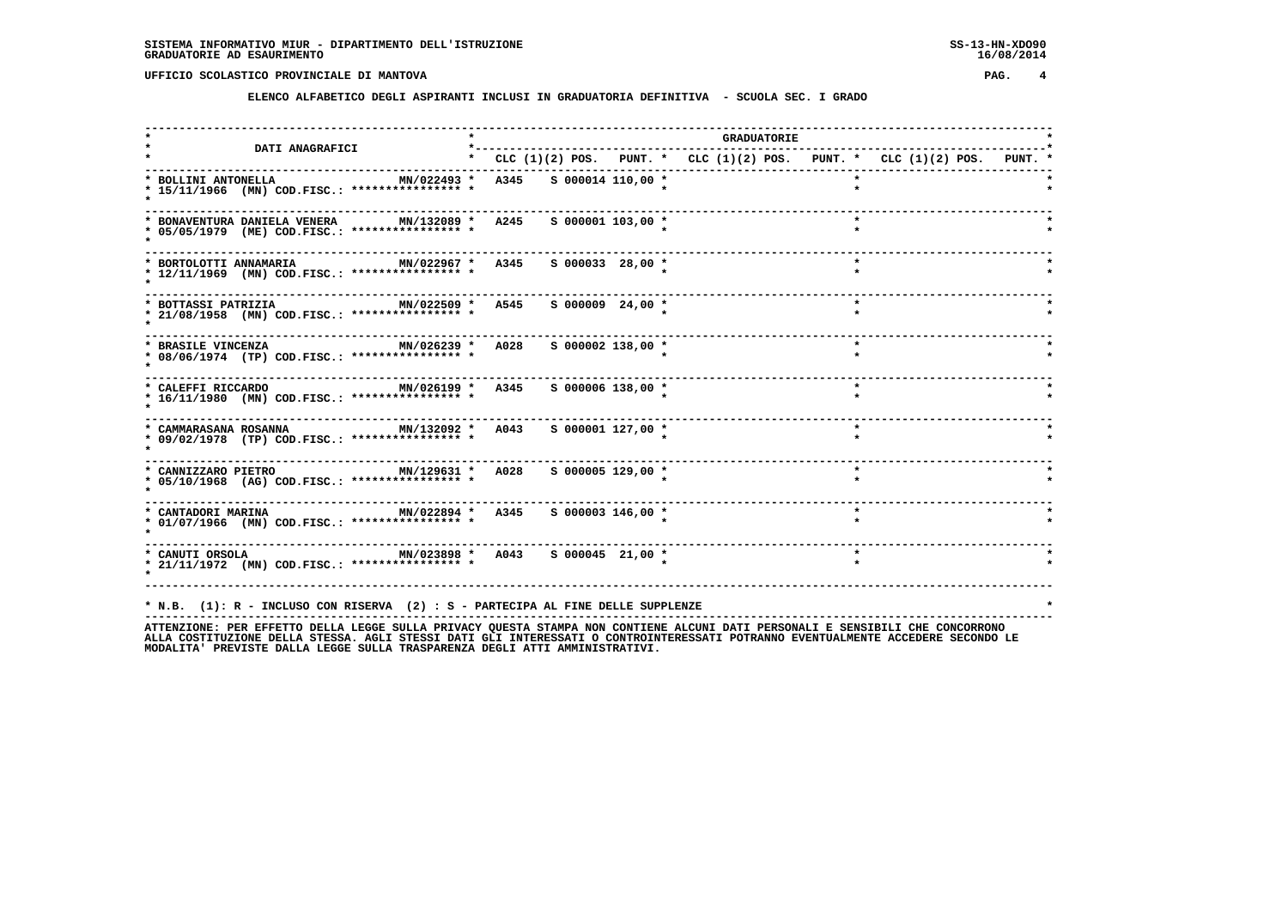**ELENCO ALFABETICO DEGLI ASPIRANTI INCLUSI IN GRADUATORIA DEFINITIVA - SCUOLA SEC. I GRADO**

| <b>DATI ANAGRAFICI</b>                                                                                                                                                                             |                                                                           |  | <b>GRADUATORIE</b> |         |  |
|----------------------------------------------------------------------------------------------------------------------------------------------------------------------------------------------------|---------------------------------------------------------------------------|--|--------------------|---------|--|
|                                                                                                                                                                                                    | * CLC (1)(2) POS. PUNT. * CLC (1)(2) POS. PUNT. * CLC (1)(2) POS. PUNT. * |  |                    |         |  |
| * BOLLINI ANTONELLA<br>* 15/11/1966 (MN) COD.FISC.: **************** *                                                                                                                             | MN/022493 * A345 S 000014 110,00 *                                        |  |                    |         |  |
| MN/132089 * A245<br>* BONAVENTURA DANIELA VENERA<br>* 05/05/1979 (ME) COD.FISC.: **************** *                                                                                                | $S$ 000001 103,00 $*$                                                     |  |                    |         |  |
| * BORTOLOTTI ANNAMARIA<br>* 12/11/1969 (MN) COD.FISC.: **************** *                                                                                                                          | MN/022967 * A345 S 000033 28,00 *                                         |  |                    | $\star$ |  |
| * BOTTASSI PATRIZIA<br>* 21/08/1958 (MN) COD.FISC.: **************** *                                                                                                                             | MN/022509 * A545 S 000009 24,00 *                                         |  |                    | $\star$ |  |
| MN/026239 * A028<br>* BRASILE VINCENZA<br>* 08/06/1974 (TP) COD.FISC.: **************** *                                                                                                          | S 000002 138,00 *                                                         |  |                    | $\star$ |  |
| MN/026199 * A345<br>* CALEFFI RICCARDO<br>* 16/11/1980 (MN) COD.FISC.: **************** *                                                                                                          | S 000006 138,00 *                                                         |  |                    | $\star$ |  |
| MN/132092 * A043<br>* CAMMARASANA ROSANNA<br>* 09/02/1978 (TP) COD.FISC.: **************** *                                                                                                       | S 000001 127,00 *                                                         |  |                    | $\star$ |  |
| MN/129631 * A028 S 000005 129,00 *<br>* CANNIZZARO PIETRO<br>* 05/10/1968 (AG) COD.FISC.: **************** *                                                                                       |                                                                           |  |                    | $\star$ |  |
| MN/022894 * A345 S 000003 146,00 *<br>* CANTADORI MARINA<br>* 01/07/1966 (MN) COD.FISC.: **************** *                                                                                        |                                                                           |  |                    |         |  |
| * CANUTI ORSOLA                         MN/023898 *   A043     S 000045   21,00 *<br>* 21/11/1972 (MN) COD.FISC.: *************** *                                                                |                                                                           |  |                    | $\star$ |  |
| * N.B. (1): R - INCLUSO CON RISERVA (2) : S - PARTECIPA AL FINE DELLE SUPPLENZE<br>ATTENTIONE. ספס בספריים הדוזה ובמספס היו הוא המאומים המוכים המוכן המוכנים המוכנים היו היו היו הייסטים הספריים ה |                                                                           |  |                    |         |  |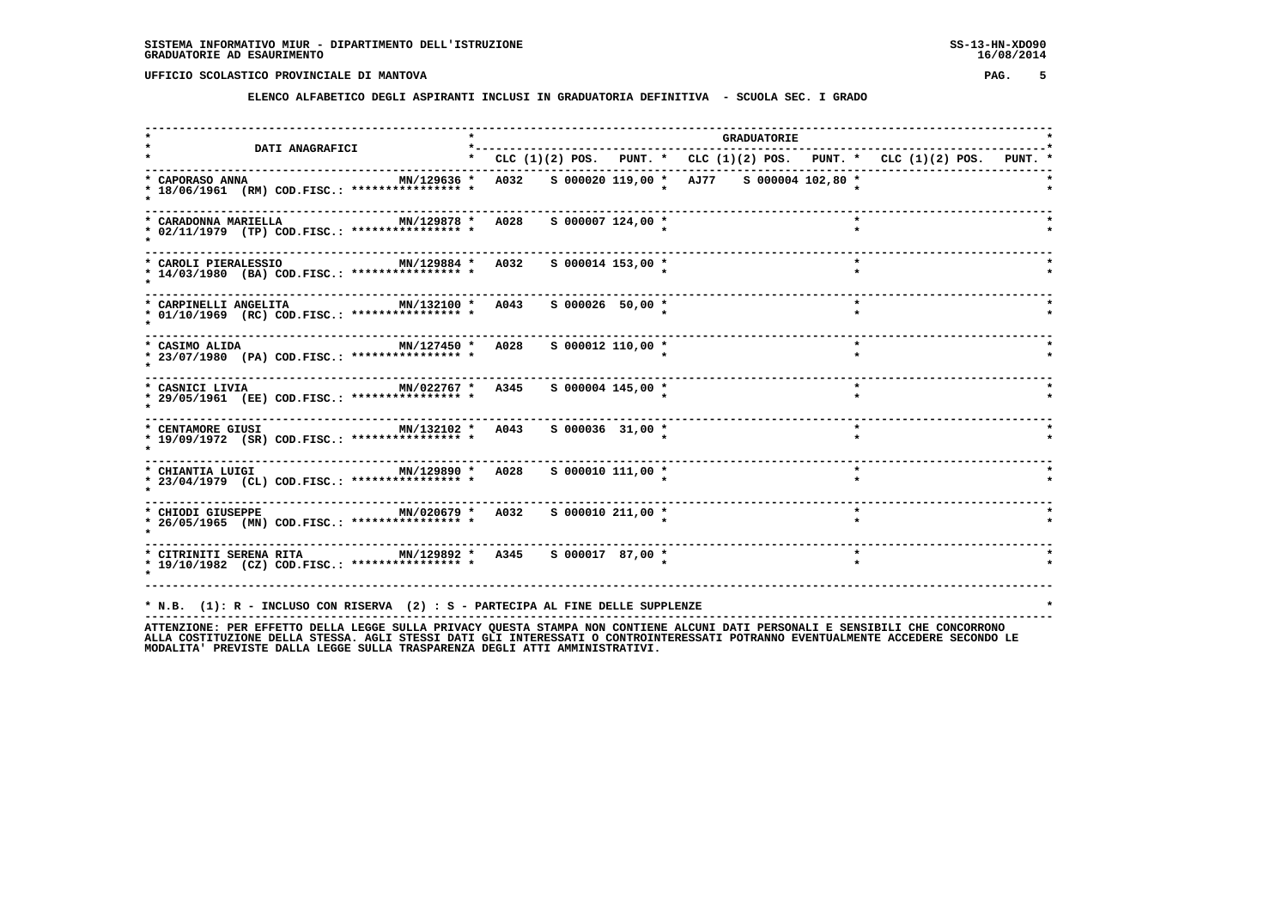**ELENCO ALFABETICO DEGLI ASPIRANTI INCLUSI IN GRADUATORIA DEFINITIVA - SCUOLA SEC. I GRADO**

|                                                                                                                                                                                                                 |  |                       |                                                                           | <b>GRADUATORIE</b> |         |  |  |
|-----------------------------------------------------------------------------------------------------------------------------------------------------------------------------------------------------------------|--|-----------------------|---------------------------------------------------------------------------|--------------------|---------|--|--|
| <b>DATI ANAGRAFICI</b>                                                                                                                                                                                          |  |                       | * CLC (1)(2) POS. PUNT. * CLC (1)(2) POS. PUNT. * CLC (1)(2) POS. PUNT. * |                    |         |  |  |
| MN/129636 *<br>* CAPORASO ANNA<br>* 18/06/1961 (RM) COD.FISC.: **************** *                                                                                                                               |  |                       | A032 S 000020 119,00 * AJ77 S 000004 102,80 *                             |                    |         |  |  |
| * CARADONNA MARIELLA<br>MN/129878 * A028<br>* 02/11/1979 (TP) COD.FISC.: **************** *                                                                                                                     |  | $S$ 000007 124,00 *   |                                                                           |                    |         |  |  |
| MN/129884 * A032 S 000014 153,00 *<br>* CAROLI PIERALESSIO<br>* 14/03/1980 (BA) COD.FISC.: **************** *                                                                                                   |  |                       |                                                                           |                    | $\star$ |  |  |
| * CARPINELLI ANGELITA<br>MN/132100 * A043<br>* 01/10/1969 (RC) COD.FISC.: **************** *                                                                                                                    |  | S 000026 50,00 *      |                                                                           |                    | $\star$ |  |  |
| ----------------------------<br>MN/127450 * A028<br>* CASIMO ALIDA<br>* 23/07/1980 (PA) COD.FISC.: **************** *                                                                                           |  | $S$ 000012 110,00 $*$ |                                                                           |                    | $\star$ |  |  |
| MN/022767 * A345<br>* CASNICI LIVIA<br>* 29/05/1961 (EE) COD.FISC.: **************** *                                                                                                                          |  | S 000004 145,00 *     |                                                                           |                    | $\star$ |  |  |
| MN/132102 * A043 S 000036 31,00 *<br>* CENTAMORE GIUSI<br>* 19/09/1972 (SR) COD.FISC.: **************** *                                                                                                       |  |                       |                                                                           |                    | $\star$ |  |  |
| MN/129890 * A028 S 000010 111,00 *<br>* CHIANTIA LUIGI<br>* 23/04/1979 (CL) COD.FISC.: **************** *                                                                                                       |  |                       |                                                                           |                    | $\star$ |  |  |
| * CHIODI GIUSEPPE MN/020679 * A032 S 000010 211,00 *<br>* 26/05/1965 (MN) COD.FISC.: **************** *                                                                                                         |  |                       |                                                                           |                    | $\star$ |  |  |
| * CITRINITI SERENA RITA MN/129892 * A345 S 000017 87,00 *<br>* 19/10/1982 (CZ) COD.FISC.: **************** *                                                                                                    |  |                       |                                                                           |                    | $\star$ |  |  |
| * N.B. (1): R - INCLUSO CON RISERVA (2) : S - PARTECIPA AL FINE DELLE SUPPLENZE<br>ATTENTIONE. OF FEDERAL ARILLA LECCE CULLA DOTUACY OUFCRA CRANDA NON CONTIENT ALCUNI DATI DEDCONALI F CENCIDILI CUF CONCODONO |  |                       |                                                                           |                    |         |  |  |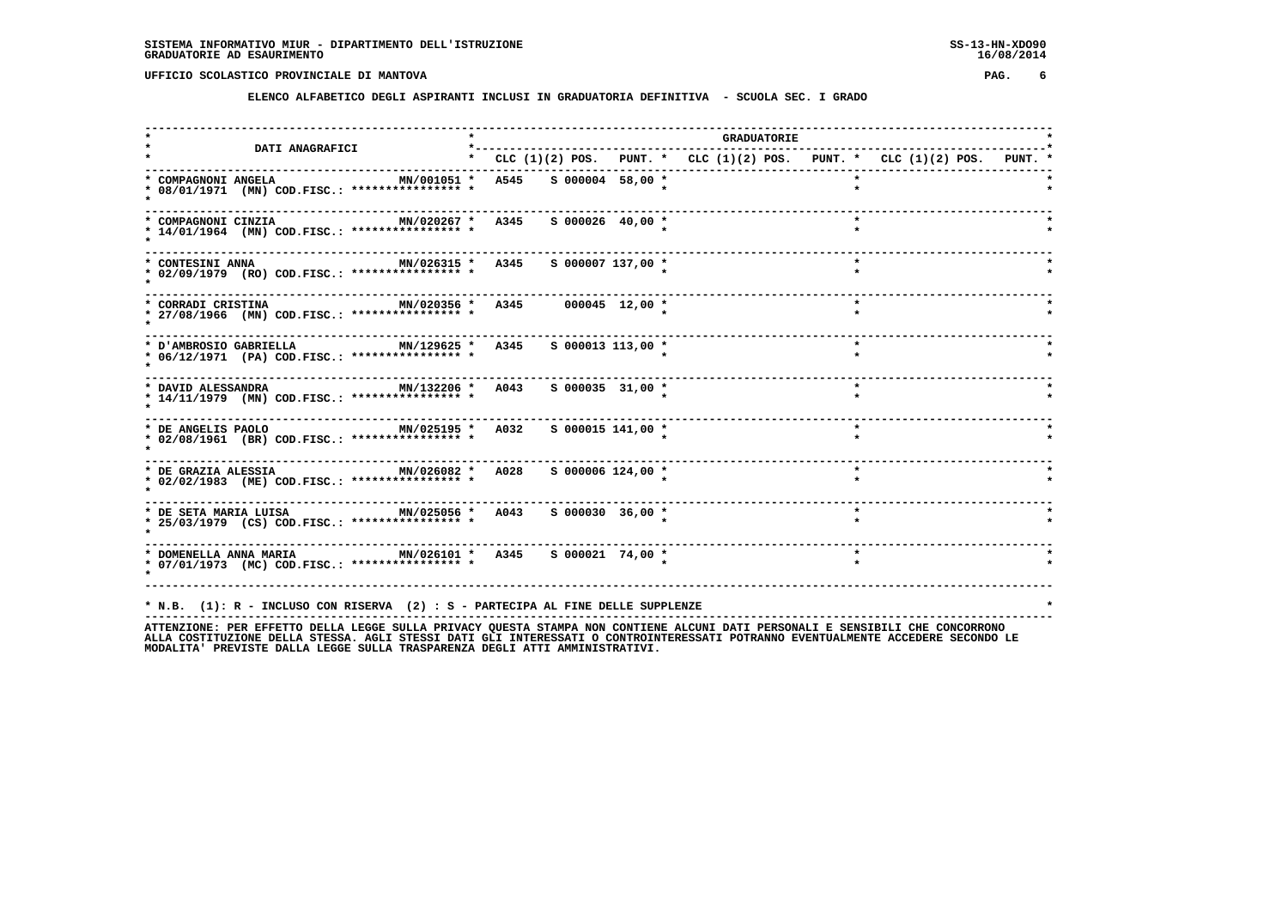**ELENCO ALFABETICO DEGLI ASPIRANTI INCLUSI IN GRADUATORIA DEFINITIVA - SCUOLA SEC. I GRADO**

| <b>DATI ANAGRAFICI</b>                                                                                      | *--------- |                     |                                                                           | <b>GRADUATORIE</b> |         |  |  |
|-------------------------------------------------------------------------------------------------------------|------------|---------------------|---------------------------------------------------------------------------|--------------------|---------|--|--|
|                                                                                                             |            |                     | * CLC (1)(2) POS. PUNT. * CLC (1)(2) POS. PUNT. * CLC (1)(2) POS. PUNT. * |                    |         |  |  |
| MN/001051 * A545 S 000004 58,00 *<br>* COMPAGNONI ANGELA<br>* 08/01/1971 (MN) COD.FISC.: **************** * |            |                     |                                                                           |                    |         |  |  |
| MN/020267 * A345<br>* COMPAGNONI CINZIA<br>* 14/01/1964 (MN) COD.FISC.: **************** *                  |            | $S$ 000026 40,00 *  |                                                                           |                    |         |  |  |
| MN/026315 * A345 S 000007 137,00 *<br>* CONTESINI ANNA<br>* 02/09/1979 (RO) COD.FISC.: **************** *   |            |                     |                                                                           |                    | $\star$ |  |  |
| MN/020356 * A345 000045 12,00 *<br>* CORRADI CRISTINA<br>* 27/08/1966 (MN) COD.FISC.: **************** *    |            |                     |                                                                           |                    | $\star$ |  |  |
| MN/129625 * A345<br>* D'AMBROSIO GABRIELLA<br>* 06/12/1971 (PA) COD.FISC.: **************** *               |            | $S$ 000013 113,00 * |                                                                           |                    | $\star$ |  |  |
| MN/132206 * A043<br>* DAVID ALESSANDRA<br>* 14/11/1979 (MN) COD.FISC.: **************** *                   |            | $S$ 000035 31,00 *  |                                                                           |                    | $\star$ |  |  |
| MN/025195 * A032 S 000015 141,00 *<br>* DE ANGELIS PAOLO<br>* 02/08/1961 (BR) COD.FISC.: **************** * |            |                     |                                                                           |                    | $\star$ |  |  |
| * 02/02/1983 (ME) COD.FISC.: **************** *                                                             |            | S 000006 124,00 *   |                                                                           |                    |         |  |  |
| * 25/03/1979 (CS) COD.FISC.: **************** *                                                             |            |                     |                                                                           |                    | $\star$ |  |  |
| * 07/01/1973 (MC) COD.FISC.: **************** *                                                             |            |                     |                                                                           |                    | $\star$ |  |  |
| * N.B. (1): R - INCLUSO CON RISERVA (2) : S - PARTECIPA AL FINE DELLE SUPPLENZE                             |            |                     |                                                                           |                    |         |  |  |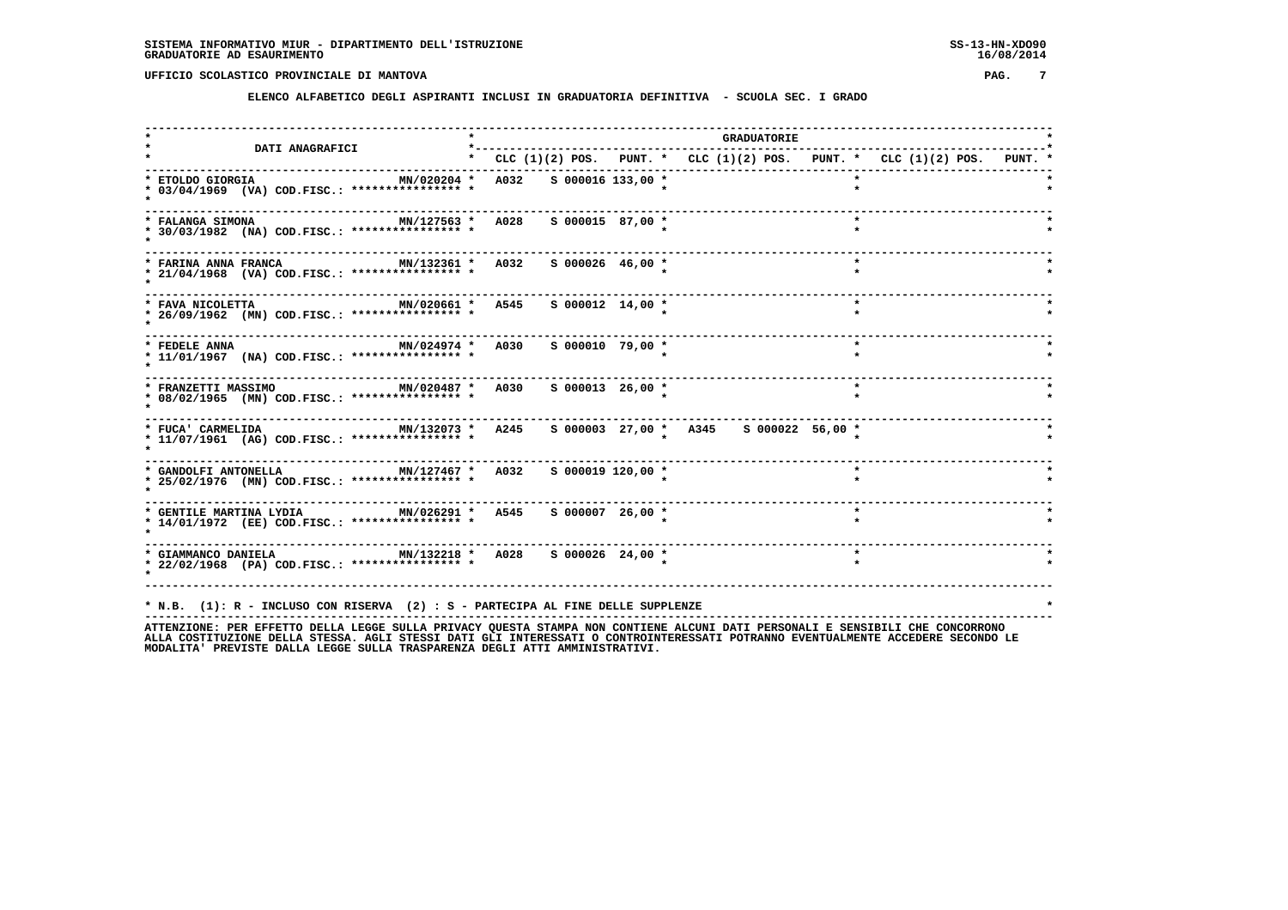**ELENCO ALFABETICO DEGLI ASPIRANTI INCLUSI IN GRADUATORIA DEFINITIVA - SCUOLA SEC. I GRADO**

| <b>DATI ANAGRAFICI</b>                                                                                                                                                                                           |                        |                    | <b>GRADUATORIE</b>                                                              |  |         |  |  |
|------------------------------------------------------------------------------------------------------------------------------------------------------------------------------------------------------------------|------------------------|--------------------|---------------------------------------------------------------------------------|--|---------|--|--|
|                                                                                                                                                                                                                  |                        |                    | * CLC $(1)(2)$ POS. PUNT. * CLC $(1)(2)$ POS. PUNT. * CLC $(1)(2)$ POS. PUNT. * |  |         |  |  |
| MN/020204 *<br>* ETOLDO GIORGIA<br>* 03/04/1969 (VA) COD.FISC.: **************** *                                                                                                                               | A032 S 000016 133,00 * |                    |                                                                                 |  |         |  |  |
| MN/127563 * A028<br>* FALANGA SIMONA<br>* 30/03/1982 (NA) COD.FISC.: **************** *                                                                                                                          |                        | S 000015 87,00 *   |                                                                                 |  |         |  |  |
| MN/132361 * A032 S 000026 46,00 *<br>* FARINA ANNA FRANCA<br>* 21/04/1968 (VA) COD.FISC.: **************** *                                                                                                     |                        |                    |                                                                                 |  | $\star$ |  |  |
| MN/020661 * A545 S 000012 14,00 *<br>* FAVA NICOLETTA<br>* 26/09/1962 (MN) COD.FISC.: **************** *                                                                                                         |                        |                    |                                                                                 |  | $\star$ |  |  |
| MN/024974 * A030<br>* FEDELE ANNA<br>* 11/01/1967 (NA) COD.FISC.: *************** *                                                                                                                              |                        | S 000010 79,00 *   |                                                                                 |  | $\star$ |  |  |
| --------------------------------<br>MN/020487 * A030<br>* FRANZETTI MASSIMO<br>* 08/02/1965 (MN) COD.FISC.: **************** *                                                                                   |                        | $S$ 000013 26,00 * |                                                                                 |  | $\star$ |  |  |
| MN/132073 * A245<br>* FUCA' CARMELIDA<br>* 11/07/1961 (AG) COD.FISC.: **************** *                                                                                                                         |                        |                    | S 000003 27,00 * A345 S 000022 56,00 *                                          |  |         |  |  |
| MN/127467 * A032<br>* GANDOLFI ANTONELLA<br>* 25/02/1976 (MN) COD.FISC.: **************** *                                                                                                                      |                        | s 000019 120,00 *  |                                                                                 |  | $\star$ |  |  |
| * 14/01/1972 (EE) COD.FISC.: **************** *                                                                                                                                                                  |                        |                    |                                                                                 |  | $\star$ |  |  |
| * GIAMMANCO DANIELA $MN/132218$ * A028 \$ 000026 24,00 *<br>* 22/02/1968 (PA) COD.FISC.: **************** *                                                                                                      |                        |                    |                                                                                 |  |         |  |  |
| * N.B. (1): R - INCLUSO CON RISERVA (2) : S - PARTECIPA AL FINE DELLE SUPPLENZE<br>ATTENZIONE: PER EFFETTO DELLA LEGGE SULLA PRIVACY OUESTA STAMPA NON CONTIENE ALCUNI DATI PERSONALI E SENSIBILI CHE CONCORRONO |                        |                    |                                                                                 |  |         |  |  |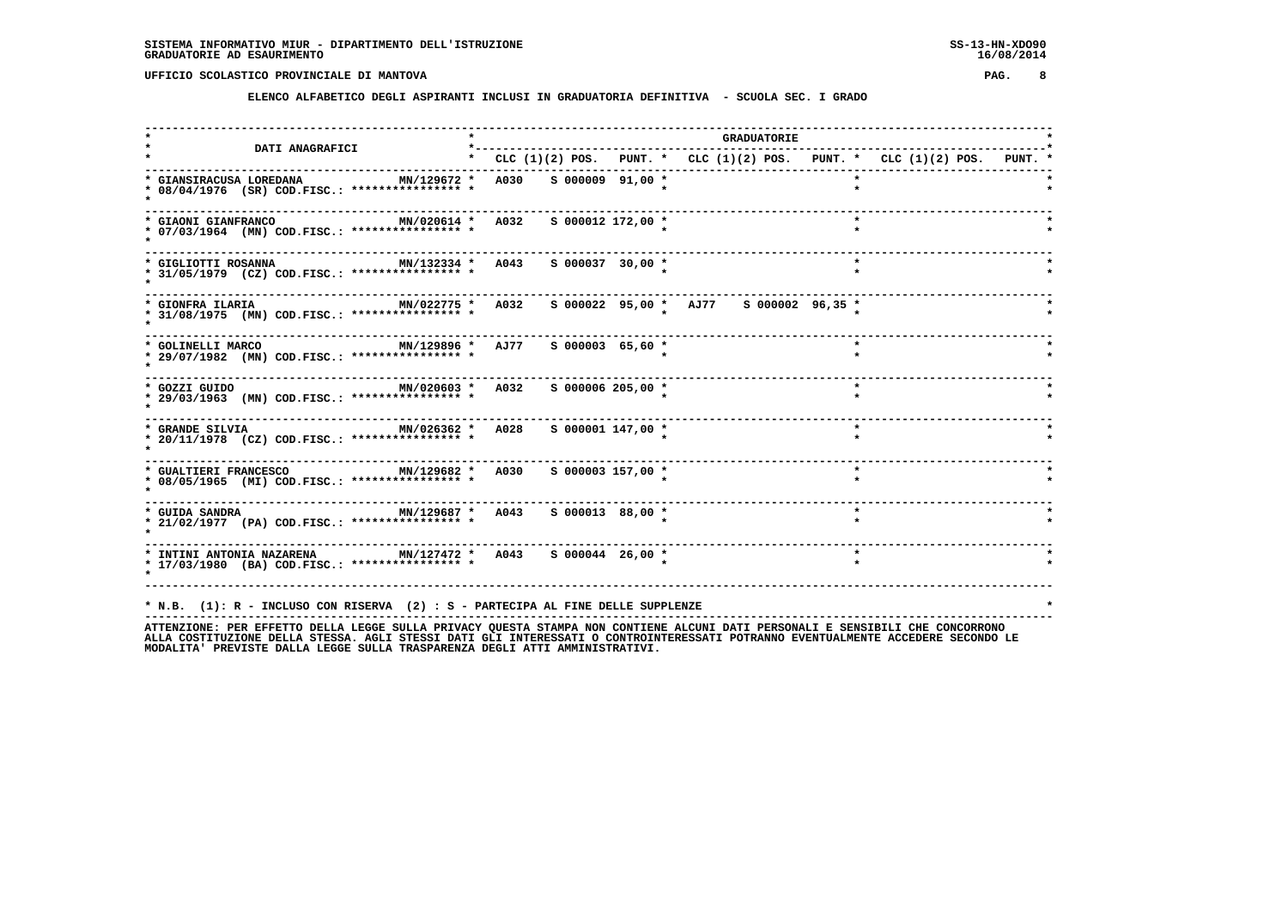**ELENCO ALFABETICO DEGLI ASPIRANTI INCLUSI IN GRADUATORIA DEFINITIVA - SCUOLA SEC. I GRADO**

|                                                                                                                |                                   |                       |                                        | <b>GRADUATORIE</b> |                                                                           |  |
|----------------------------------------------------------------------------------------------------------------|-----------------------------------|-----------------------|----------------------------------------|--------------------|---------------------------------------------------------------------------|--|
| <b>DATI ANAGRAFICI</b>                                                                                         |                                   |                       |                                        |                    | * CLC (1)(2) POS. PUNT. * CLC (1)(2) POS. PUNT. * CLC (1)(2) POS. PUNT. * |  |
| * GIANSIRACUSA LOREDANA<br>MN/129672 *<br>* 08/04/1976 (SR) COD.FISC.: **************** *                      | A030 S 000009 91,00 *             |                       |                                        |                    |                                                                           |  |
| MN/020614 * A032<br>* GIAONI GIANFRANCO<br>* 07/03/1964 (MN) COD.FISC.: **************** *                     |                                   | s 000012 172,00 *     |                                        |                    | $\star$                                                                   |  |
| * GIGLIOTTI ROSANNA<br>* 31/05/1979 (CZ) COD.FISC.: **************** *                                         | MN/132334 * A043 S 000037 30,00 * |                       |                                        |                    | $\star$                                                                   |  |
| MN/022775 * A032<br>* GIONFRA ILARIA<br>* 31/08/1975 (MN) COD.FISC.: **************** *                        |                                   |                       | S 000022 95,00 * AJ77 S 000002 96,35 * |                    |                                                                           |  |
| MN/129896 * AJ77<br>* GOLINELLI MARCO<br>* 29/07/1982 (MN) COD.FISC.: **************** *                       |                                   | $S$ 000003 65,60 *    |                                        |                    | $\star$                                                                   |  |
| MN/020603 * A032<br>* GOZZI GUIDO<br>* 29/03/1963 (MN) COD.FISC.: **************** *                           |                                   | $S$ 000006 205,00 $*$ |                                        |                    | $\star$                                                                   |  |
| MN/026362 * A028 S 000001 147,00 *<br>* GRANDE SILVIA<br>* 20/11/1978 (CZ) COD.FISC.: **************** *       |                                   |                       |                                        |                    | $\star$                                                                   |  |
| MN/129682 * A030 S 000003 157,00 *<br>* GUALTIERI FRANCESCO<br>* 08/05/1965 (MI) COD.FISC.: **************** * |                                   |                       |                                        |                    |                                                                           |  |
| * 21/02/1977 (PA) COD.FISC.: **************** *                                                                |                                   | S 000013 88,00 *      |                                        |                    | $\star$                                                                   |  |
| * INTINI ANTONIA NAZARENA MN/127472 * A043 S 000044 26,00 *<br>* 17/03/1980 (BA) COD.FISC.: **************** * |                                   |                       |                                        |                    |                                                                           |  |
|                                                                                                                |                                   |                       |                                        |                    |                                                                           |  |
| * N.B. (1): R - INCLUSO CON RISERVA (2) : S - PARTECIPA AL FINE DELLE SUPPLENZE                                |                                   |                       |                                        |                    |                                                                           |  |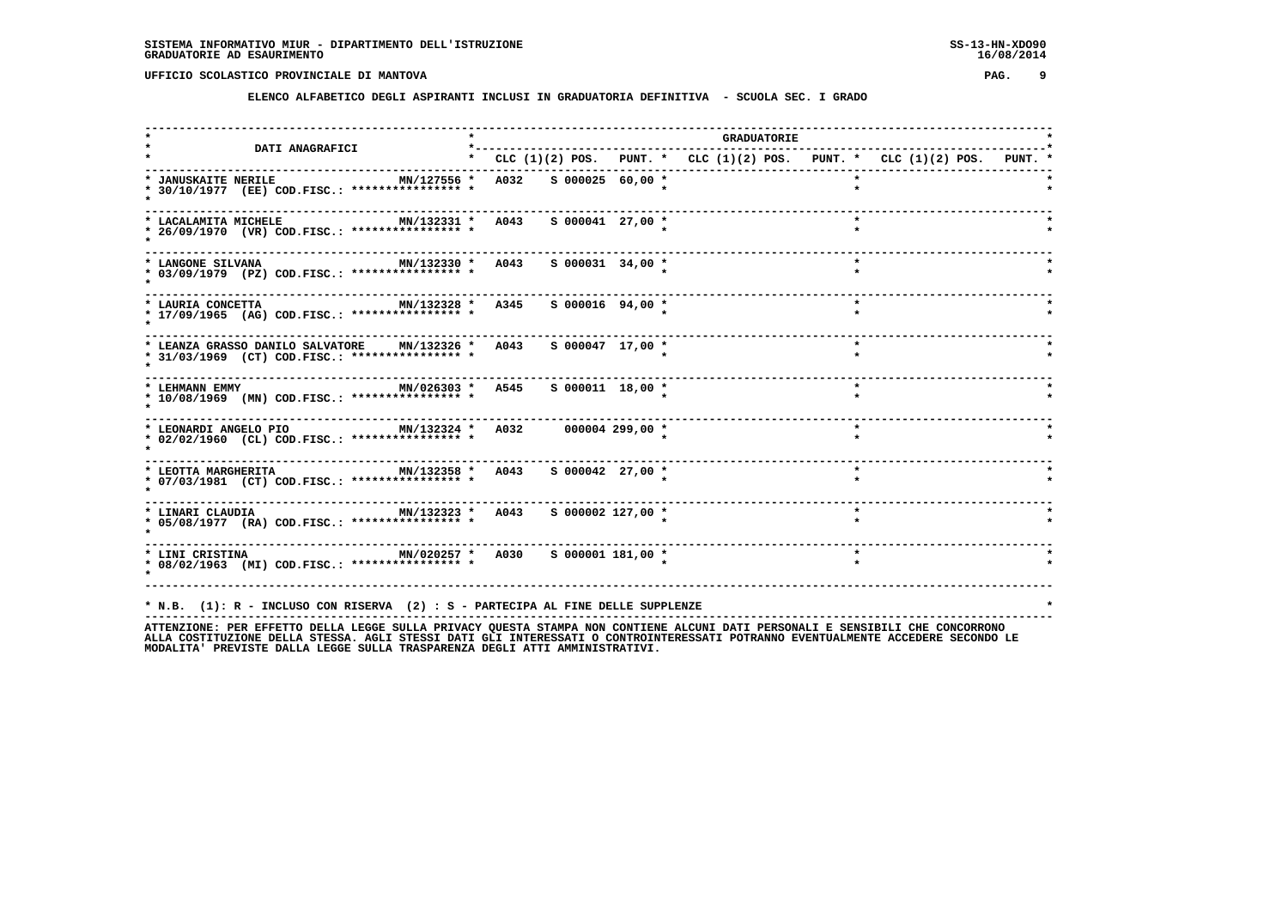**ELENCO ALFABETICO DEGLI ASPIRANTI INCLUSI IN GRADUATORIA DEFINITIVA - SCUOLA SEC. I GRADO**

| <b>DATI ANAGRAFICI</b>                                                                                                          | *---------                                                                      |                    |  | <b>GRADUATORIE</b> |         |  |  |
|---------------------------------------------------------------------------------------------------------------------------------|---------------------------------------------------------------------------------|--------------------|--|--------------------|---------|--|--|
|                                                                                                                                 | * CLC $(1)(2)$ POS. PUNT. * CLC $(1)(2)$ POS. PUNT. * CLC $(1)(2)$ POS. PUNT. * |                    |  |                    |         |  |  |
| * JANUSKAITE NERILE<br>MN/127556 * A032 S 000025 60,00 *<br>* 30/10/1977 (EE) COD.FISC.: **************** *                     |                                                                                 |                    |  |                    |         |  |  |
| MN/132331 * A043 S 000041 27,00 *<br>* LACALAMITA MICHELE<br>* 26/09/1970 (VR) COD.FISC.: **************** *                    |                                                                                 |                    |  |                    | $\star$ |  |  |
| MN/132330 * A043<br>* LANGONE SILVANA<br>* 03/09/1979 (PZ) COD.FISC.: *************** *                                         |                                                                                 | $S$ 000031 34,00 * |  |                    | $\star$ |  |  |
| MN/132328 * A345<br>* LAURIA CONCETTA<br>* 17/09/1965 (AG) COD.FISC.: **************** *                                        |                                                                                 | $S$ 000016 94,00 * |  |                    | $\star$ |  |  |
| * LEANZA GRASSO DANILO SALVATORE MN/132326 * A043<br>* 31/03/1969 (CT) COD.FISC.: **************** *                            |                                                                                 | S 000047 17,00 *   |  |                    | $\star$ |  |  |
| MN/026303 * A545 S 000011 18,00 *<br>* LEHMANN EMMY<br>* 10/08/1969 (MN) COD.FISC.: **************** *                          |                                                                                 |                    |  |                    | $\star$ |  |  |
| * LEONARDI ANGELO PIO               MN/132324 *   A032       000004 299,00 *<br>* 02/02/1960 (CL) COD.FISC.: **************** * |                                                                                 |                    |  |                    | $\star$ |  |  |
| * 07/03/1981 (CT) COD.FISC.: **************** *                                                                                 |                                                                                 |                    |  |                    | $\star$ |  |  |
| * LINARI CLAUDIA $MN/132323$ * A043 \$ 000002 127,00 *<br>* 05/08/1977 (RA) COD.FISC.: **************** *                       |                                                                                 |                    |  |                    | $\star$ |  |  |
| * LINI CRISTINA $MN/020257$ * A030<br>* 08/02/1963 (MI) COD.FISC.: **************** *                                           |                                                                                 | s 000001 181,00 *  |  |                    | $\star$ |  |  |
| * N.B. (1): R - INCLUSO CON RISERVA (2) : S - PARTECIPA AL FINE DELLE SUPPLENZE                                                 |                                                                                 |                    |  |                    |         |  |  |
|                                                                                                                                 |                                                                                 |                    |  |                    |         |  |  |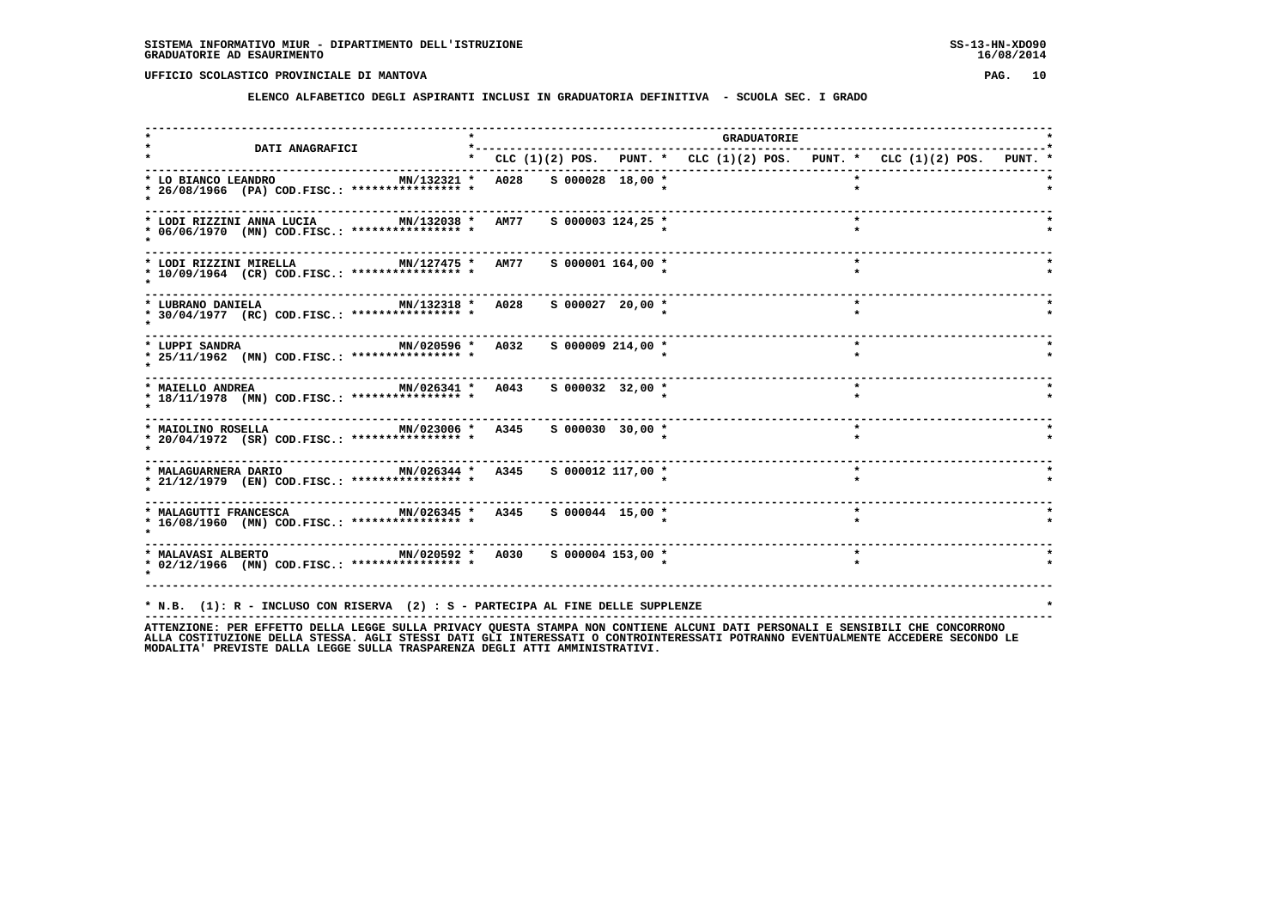**ELENCO ALFABETICO DEGLI ASPIRANTI INCLUSI IN GRADUATORIA DEFINITIVA - SCUOLA SEC. I GRADO**

|                                                                                                                                                                                                                                                                           |                                                                           |                       | <b>GRADUATORIE</b> |         |         |  |
|---------------------------------------------------------------------------------------------------------------------------------------------------------------------------------------------------------------------------------------------------------------------------|---------------------------------------------------------------------------|-----------------------|--------------------|---------|---------|--|
| <b>DATI ANAGRAFICI</b>                                                                                                                                                                                                                                                    | * CLC (1)(2) POS. PUNT. * CLC (1)(2) POS. PUNT. * CLC (1)(2) POS. PUNT. * |                       |                    |         |         |  |
| MN/132321 * A028 S 000028 18,00 *<br>* LO BIANCO LEANDRO<br>* 26/08/1966 (PA) COD.FISC.: **************** *                                                                                                                                                               |                                                                           |                       |                    |         |         |  |
| MN/132038 * AM77<br>* LODI RIZZINI ANNA LUCIA<br>* 06/06/1970 (MN) COD.FISC.: **************** *                                                                                                                                                                          |                                                                           | $S$ 000003 124,25 *   |                    |         |         |  |
| MN/127475 * AM77 S 000001 164,00 *<br>* LODI RIZZINI MIRELLA<br>* 10/09/1964 (CR) COD.FISC.: **************** *                                                                                                                                                           |                                                                           |                       |                    | $\star$ |         |  |
| MN/132318 * A028 S 000027 20,00 *<br>* LUBRANO DANIELA<br>* 30/04/1977 (RC) COD.FISC.: **************** *                                                                                                                                                                 |                                                                           |                       |                    |         | $\star$ |  |
| ------------------------------------<br>MN/020596 * A032<br>* LUPPI SANDRA<br>* 25/11/1962 (MN) COD.FISC.: **************** *                                                                                                                                             |                                                                           | $S$ 000009 214,00 $*$ |                    | $\star$ |         |  |
| ------------------------------<br>MN/026341 * A043<br>* MAIELLO ANDREA<br>* 18/11/1978 (MN) COD.FISC.: **************** *                                                                                                                                                 |                                                                           | S 000032 32,00 *      |                    | $\star$ |         |  |
| ------------------------------------<br>MN/023006 * A345 S 000030 30,00 *<br>* MAIOLINO ROSELLA<br>* 20/04/1972 (SR) COD.FISC.: **************** *                                                                                                                        |                                                                           |                       |                    | $\star$ |         |  |
| MN/026344 * A345 S 000012 117,00 *<br>* MALAGUARNERA DARIO<br>* 21/12/1979 (EN) COD.FISC.: **************** *                                                                                                                                                             |                                                                           |                       |                    | $\star$ |         |  |
| * MALAGUTTI FRANCESCA MN/026345 * A345<br>* 16/08/1960 (MN) COD.FISC.: **************** *                                                                                                                                                                                 |                                                                           | S 000044 15,00 *      |                    | $\star$ |         |  |
| * MALAVASI ALBERTO <b>MN</b> /020592 * A030 S 000004 153,00 *<br>* 02/12/1966 (MN) COD.FISC.: **************** *                                                                                                                                                          |                                                                           |                       |                    | $\star$ |         |  |
| * N.B. (1): R - INCLUSO CON RISERVA (2) : S - PARTECIPA AL FINE DELLE SUPPLENZE<br><u>מומסממממה קשה דדסדסווקס קידו וממססקה דיונה המוחדשוג קווקדיקומי וומון גם ואין המידע מיסקומי המודרס הממקד היוחס מקסקה מקומקס היוחס</u><br>$\lambda$ TTENT $\tau$ $\cap$ NTE $\lambda$ |                                                                           |                       |                    |         |         |  |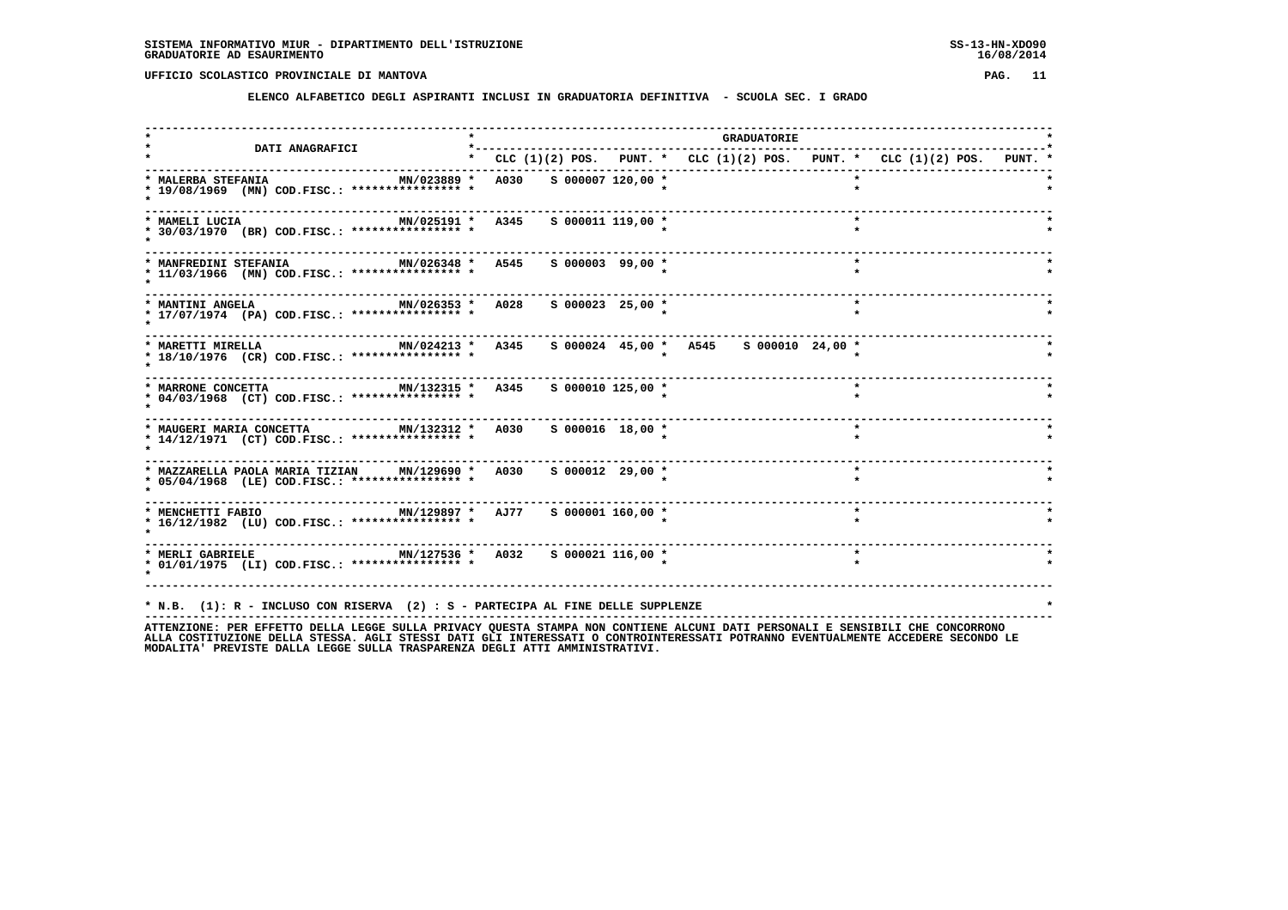**ELENCO ALFABETICO DEGLI ASPIRANTI INCLUSI IN GRADUATORIA DEFINITIVA - SCUOLA SEC. I GRADO**

|                                                                                                                                                                                                                 |                                   |                     | GRADUATORIE                            |         |                                                                           |  |
|-----------------------------------------------------------------------------------------------------------------------------------------------------------------------------------------------------------------|-----------------------------------|---------------------|----------------------------------------|---------|---------------------------------------------------------------------------|--|
| DATI ANAGRAFICI                                                                                                                                                                                                 |                                   |                     |                                        |         | * CLC (1)(2) POS. PUNT. * CLC (1)(2) POS. PUNT. * CLC (1)(2) POS. PUNT. * |  |
| * MALERBA STEFANIA<br>MN/023889 *<br>* 19/08/1969 (MN) COD.FISC.: **************** *                                                                                                                            | A030 S 000007 120,00 *            |                     |                                        |         |                                                                           |  |
| MN/025191 * A345<br>* MAMELI LUCIA<br>* 30/03/1970 (BR) COD.FISC.: **************** *                                                                                                                           |                                   | $S$ 000011 119,00 * |                                        | $\star$ |                                                                           |  |
| * MANFREDINI STEFANIA<br>* 11/03/1966 (MN) COD.FISC.: **************** *                                                                                                                                        | MN/026348 * A545 S 000003 99,00 * |                     |                                        | $\star$ |                                                                           |  |
| * MANTINI ANGELA<br>* 17/07/1974 (PA) COD.FISC.: **************** *                                                                                                                                             | MN/026353 * A028 S 000023 25,00 * |                     |                                        | $\star$ |                                                                           |  |
| MN/024213 * A345<br>* MARETTI MIRELLA<br>* 18/10/1976 (CR) COD.FISC.: **************** *                                                                                                                        |                                   |                     | s 000024 45,00 * A545 s 000010 24,00 * |         |                                                                           |  |
| MN/132315 * A345<br>* MARRONE CONCETTA<br>* 04/03/1968 (CT) COD.FISC.: **************** *                                                                                                                       |                                   | s 000010 125,00 *   |                                        | $\star$ |                                                                           |  |
| ----------------------<br>MN/132312 * A030 S 000016 18,00 *<br>* MAUGERI MARIA CONCETTA<br>* 14/12/1971 (CT) COD.FISC.: **************** *                                                                      |                                   |                     |                                        | $\star$ |                                                                           |  |
| * MAZZARELLA PAOLA MARIA TIZIAN MN/129690 * A030 \$ 000012 29,00 *<br>* 05/04/1968 (LE) COD.FISC.: **************** *                                                                                           |                                   |                     |                                        | $\star$ |                                                                           |  |
| * MENCHETTI FABIO 60 MN/129897 * AJ77 5 000001 160,00 *<br>* 16/12/1982 (LU) COD.FISC.: **************** *                                                                                                      |                                   |                     |                                        |         |                                                                           |  |
| * MERLI GABRIELE MN/127536 * A032 S 000021 116,00 *<br>* 01/01/1975 (LI) COD.FISC.: **************** *                                                                                                          |                                   |                     |                                        | $\star$ |                                                                           |  |
| * N.B. (1): R - INCLUSO CON RISERVA (2) : S - PARTECIPA AL FINE DELLE SUPPLENZE<br>ATTENTIONE. OF FEDERAL ARILLA LECCE CULLA DOTUACY OUFCRA CRANDA NON CONTIENT ALCUNI DATI DEDCONALI F CENCIDILI CUF CONCODONO |                                   |                     |                                        |         |                                                                           |  |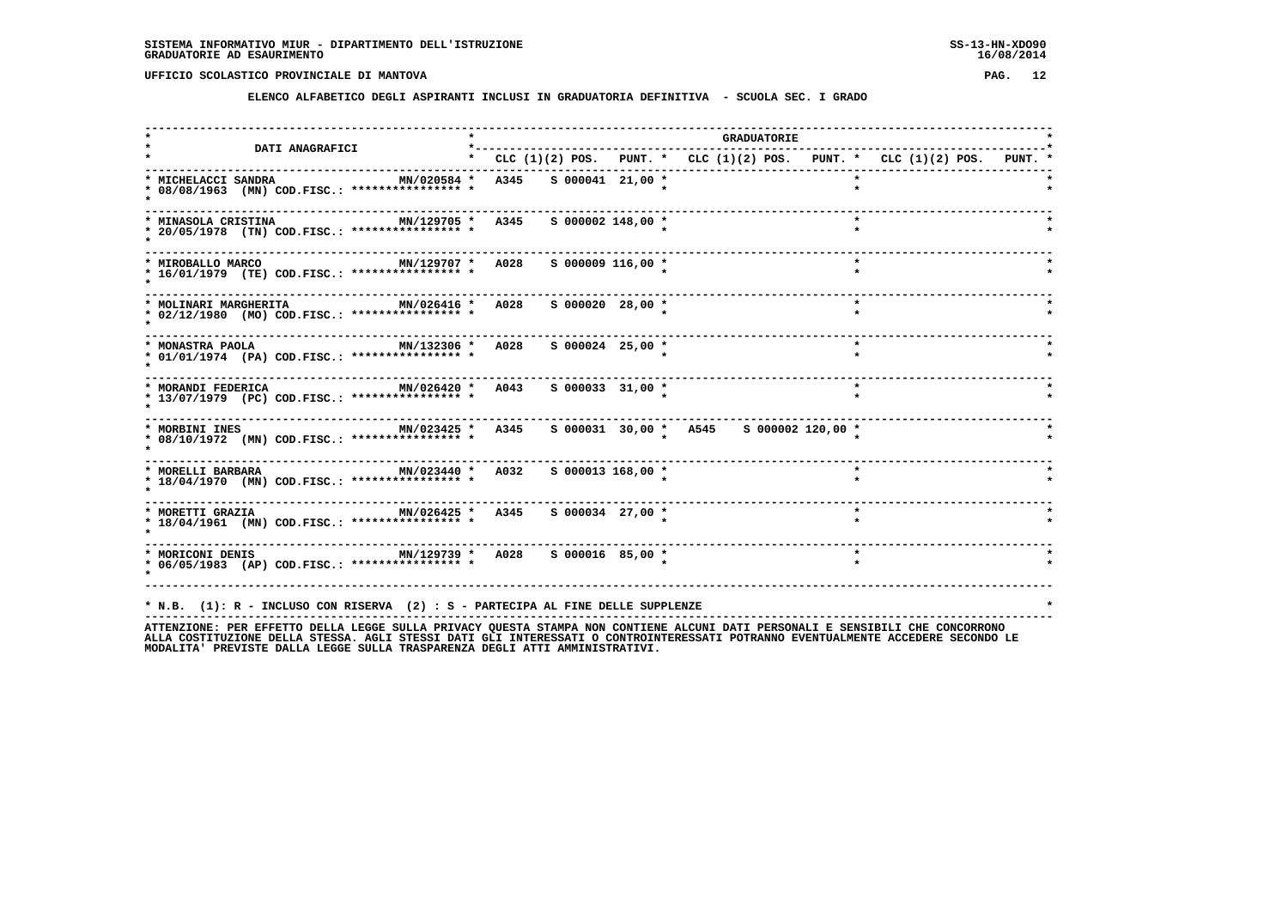**ELENCO ALFABETICO DEGLI ASPIRANTI INCLUSI IN GRADUATORIA DEFINITIVA - SCUOLA SEC. I GRADO**

| <b>DATI ANAGRAFICI</b>                                                                                                                                                                                                   | *-------------------------------------                                    |  | <b>GRADUATORIE</b>                      |         |  |
|--------------------------------------------------------------------------------------------------------------------------------------------------------------------------------------------------------------------------|---------------------------------------------------------------------------|--|-----------------------------------------|---------|--|
|                                                                                                                                                                                                                          | * CLC (1)(2) POS. PUNT. * CLC (1)(2) POS. PUNT. * CLC (1)(2) POS. PUNT. * |  |                                         |         |  |
| * MICHELACCI SANDRA<br>* 08/08/1963 (MN) COD.FISC.: **************** *                                                                                                                                                   | MN/020584 * A345 S 000041 21,00 *                                         |  |                                         |         |  |
| MN/129705 * A345<br>* MINASOLA CRISTINA<br>* 20/05/1978 (TN) COD.FISC.: **************** *                                                                                                                               | $S$ 000002 148,00 $*$                                                     |  |                                         |         |  |
| * MIROBALLO MARCO<br>* 16/01/1979 (TE) COD.FISC.: **************** *                                                                                                                                                     | MN/129707 * A028 S 000009 116,00 *                                        |  |                                         | $\star$ |  |
| * MOLINARI MARGHERITA<br>* 02/12/1980 (MO) COD.FISC.: **************** *                                                                                                                                                 | MN/026416 * A028 S 000020 28,00 *                                         |  |                                         | $\star$ |  |
| MN/132306 * A028<br>* MONASTRA PAOLA<br>* 01/01/1974 (PA) COD.FISC.: **************** *                                                                                                                                  | $S$ 000024 25,00 *                                                        |  |                                         |         |  |
| -----------------------<br>MN/026420 * A043<br>* MORANDI FEDERICA<br>* 13/07/1979 (PC) COD.FISC.: *************** *                                                                                                      | $S$ 000033 31,00 *                                                        |  |                                         | $\star$ |  |
| MN/023425 * A345<br>* MORBINI INES<br>* 08/10/1972 (MN) COD.FISC.: **************** *                                                                                                                                    |                                                                           |  | s 000031 30,00 * A545 s 000002 120,00 * |         |  |
| MN/023440 * A032 S 000013 168,00 *<br>* MORELLI BARBARA<br>* 18/04/1970 (MN) COD.FISC.: **************** *                                                                                                               |                                                                           |  |                                         |         |  |
| * MORETTI GRAZIA * 1999 MN/026425 * 1994<br>* 18/04/1961 (MN) COD.FISC.: **************** *                                                                                                                              | $S$ 000034 27,00 *                                                        |  |                                         |         |  |
| * 06/05/1983 (AP) COD.FISC.: **************** *                                                                                                                                                                          |                                                                           |  |                                         | $\star$ |  |
| * N.B. (1): R - INCLUSO CON RISERVA (2) : S - PARTECIPA AL FINE DELLE SUPPLENZE<br>ATTENTIONE. OF FEET ON THE CONFIDENTIAL STILLE STILLER ON THE STANDA NON CONTIENT ALCUNITE ATTE OF CONTALLE CENCELLITE CUP CONCORDONO |                                                                           |  |                                         |         |  |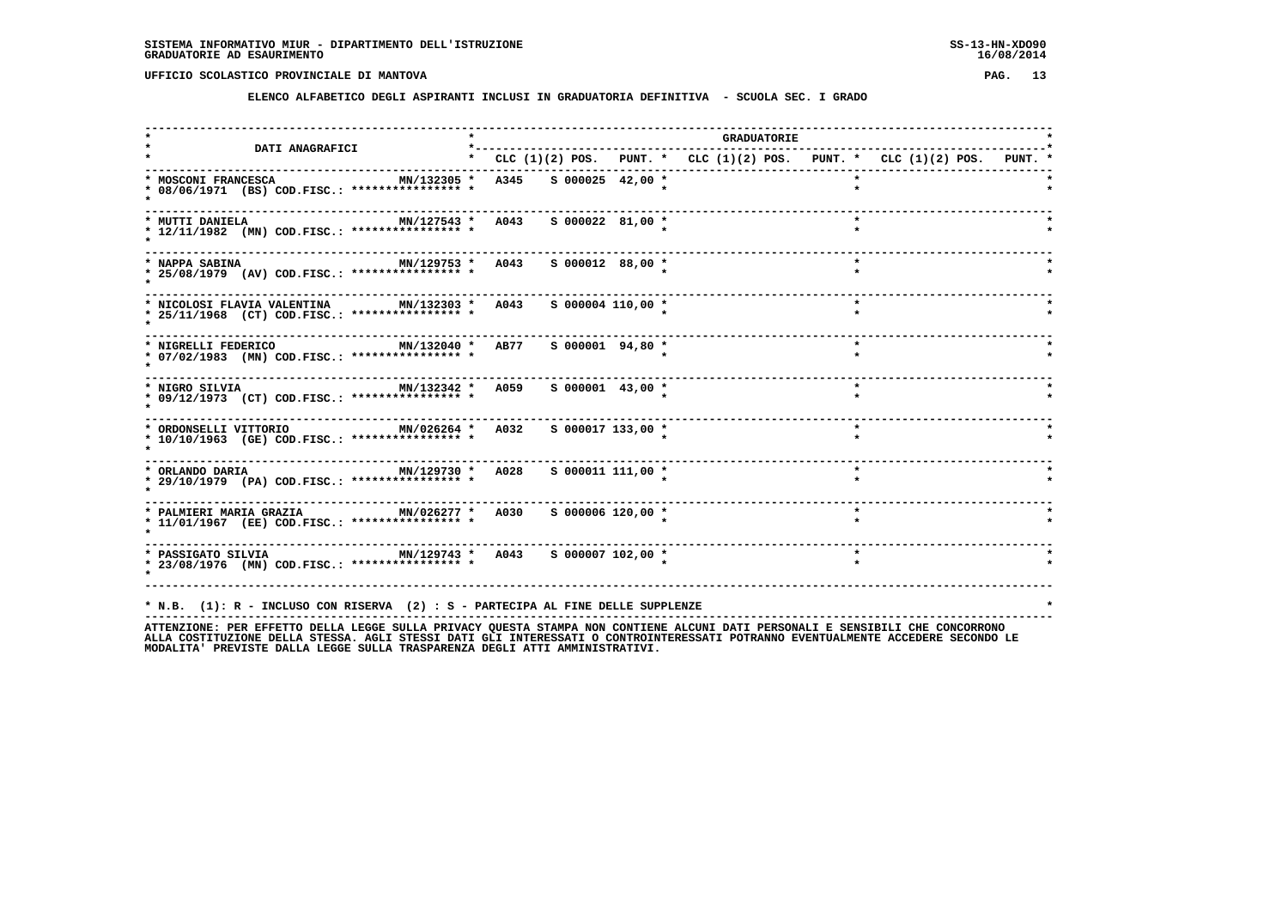**ELENCO ALFABETICO DEGLI ASPIRANTI INCLUSI IN GRADUATORIA DEFINITIVA - SCUOLA SEC. I GRADO**

|                                                                                                                                                                                                  |                                                                           |                    |  | <b>GRADUATORIE</b> |         |         |  |  |
|--------------------------------------------------------------------------------------------------------------------------------------------------------------------------------------------------|---------------------------------------------------------------------------|--------------------|--|--------------------|---------|---------|--|--|
| <b>DATI ANAGRAFICI</b>                                                                                                                                                                           | * CLC (1)(2) POS. PUNT. * CLC (1)(2) POS. PUNT. * CLC (1)(2) POS. PUNT. * |                    |  |                    |         |         |  |  |
| * MOSCONI FRANCESCA<br>* 08/06/1971 (BS) COD.FISC.: **************** *                                                                                                                           | MN/132305 * A345 S 000025 42,00 *                                         |                    |  |                    |         |         |  |  |
| MN/127543 * A043<br>* MUTTI DANIELA<br>* 12/11/1982 (MN) COD.FISC.: **************** *                                                                                                           |                                                                           | $S$ 000022 81,00 * |  |                    |         |         |  |  |
| * NAPPA SABINA<br>* 25/08/1979 (AV) COD.FISC.: **************** *                                                                                                                                | MN/129753 * A043 S 000012 88,00 *                                         |                    |  |                    |         | $\star$ |  |  |
| * NICOLOSI FLAVIA VALENTINA MN/132303 * A043 S 000004 110,00 *<br>* 25/11/1968 (CT) COD.FISC.: **************** *                                                                                |                                                                           |                    |  |                    |         | $\star$ |  |  |
| MN/132040 * AB77<br>* NIGRELLI FEDERICO<br>* 07/02/1983 (MN) COD.FISC.: **************** *                                                                                                       |                                                                           | $S$ 000001 94,80 * |  |                    |         |         |  |  |
| -----------------------------------<br>MN/132342 * A059<br>* NIGRO SILVIA<br>* 09/12/1973 (CT) COD.FISC.: **************** *                                                                     |                                                                           | $S$ 000001 43,00 * |  |                    | $\star$ |         |  |  |
| MN/026264 * A032<br>* ORDONSELLI VITTORIO<br>* 10/10/1963 (GE) COD.FISC.: **************** *                                                                                                     |                                                                           | S 000017 133,00 *  |  |                    | $\star$ |         |  |  |
| MN/129730 * A028 S 000011 111,00 *<br>* ORLANDO DARIA<br>* 29/10/1979 (PA) COD.FISC.: **************** *                                                                                         |                                                                           |                    |  |                    |         |         |  |  |
| * PALMIERI MARIA GRAZIA           MN/026277 *   A030<br>* 11/01/1967 (EE) COD.FISC.: **************** *                                                                                          |                                                                           | S 000006 120,00 *  |  |                    |         |         |  |  |
| * PASSIGATO SILVIA $MN/129743$ * A043 S 000007 102,00 *<br>* 23/08/1976 (MN) COD.FISC.: **************** *                                                                                       |                                                                           |                    |  |                    | $\star$ |         |  |  |
| * N.B. (1): R - INCLUSO CON RISERVA (2) : S - PARTECIPA AL FINE DELLE SUPPLENZE<br>ATTENTIONE. סטס בספרידות המוכסים מודות המוכנית המוכים מהתאום את המוכנית המוכנית הממשברים היוסטות המוכסים המוכ |                                                                           |                    |  |                    |         |         |  |  |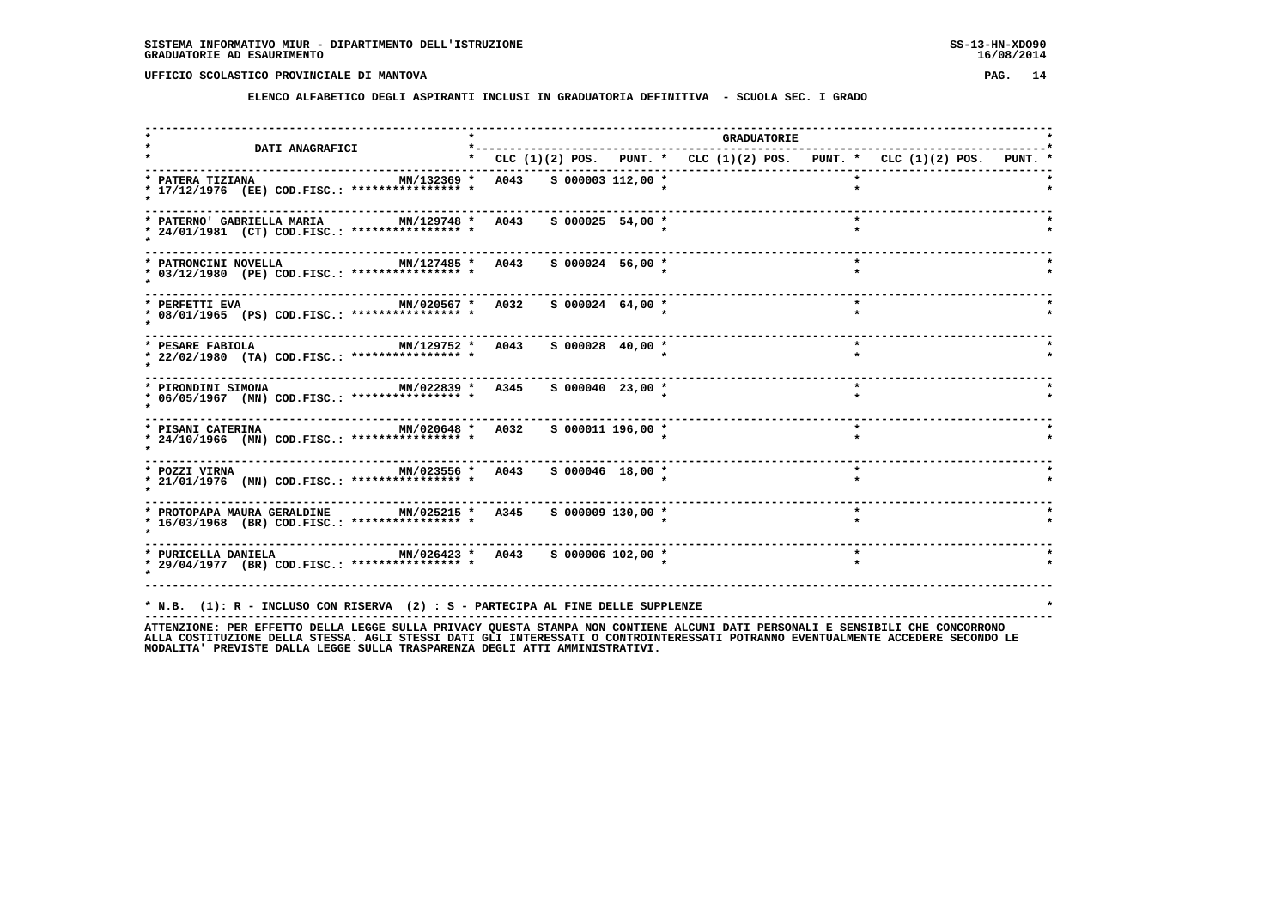**ELENCO ALFABETICO DEGLI ASPIRANTI INCLUSI IN GRADUATORIA DEFINITIVA - SCUOLA SEC. I GRADO**

|                                                                                                                                                                                                                          |                                                                           |  | <b>GRADUATORIE</b> |         |         |  |  |
|--------------------------------------------------------------------------------------------------------------------------------------------------------------------------------------------------------------------------|---------------------------------------------------------------------------|--|--------------------|---------|---------|--|--|
| <b>DATI ANAGRAFICI</b><br>-----------------------------------                                                                                                                                                            | * CLC (1)(2) POS. PUNT. * CLC (1)(2) POS. PUNT. * CLC (1)(2) POS. PUNT. * |  |                    |         |         |  |  |
| MN/132369 * A043 S 000003 112,00 *<br>* PATERA TIZIANA<br>* 17/12/1976 (EE) COD.FISC.: **************** *                                                                                                                |                                                                           |  |                    |         |         |  |  |
| * PATERNO' GABRIELLA MARIA<br>* 24/01/1981 (CT) COD.FISC.: **************** *                                                                                                                                            | MN/129748 * A043 S 000025 54,00 *                                         |  |                    |         |         |  |  |
| MN/127485 * A043<br>* PATRONCINI NOVELLA<br>* 03/12/1980 (PE) COD.FISC.: **************** *                                                                                                                              | $S$ 000024 56,00 *                                                        |  |                    |         | $\star$ |  |  |
| * PERFETTI EVA<br>* 08/01/1965 (PS) COD.FISC.: **************** *                                                                                                                                                        | MN/020567 * A032 S 000024 64,00 *                                         |  |                    |         | $\star$ |  |  |
| MN/129752 * A043<br>* PESARE FABIOLA<br>* 22/02/1980 (TA) COD.FISC.: **************** *                                                                                                                                  | S 000028 40,00 *                                                          |  |                    |         |         |  |  |
| MN/022839 * A345<br>* PIRONDINI SIMONA<br>* 06/05/1967 (MN) COD.FISC.: **************** *                                                                                                                                | $S$ 000040 23,00 $*$                                                      |  |                    |         | $\star$ |  |  |
| MN/020648 * A032<br>* PISANI CATERINA<br>* 24/10/1966 (MN) COD.FISC.: **************** *                                                                                                                                 | $S$ 000011 196,00 *                                                       |  |                    |         | $\star$ |  |  |
| MN/023556 * A043 S 000046 18,00 *<br>* POZZI VIRNA<br>* 21/01/1976 (MN) COD.FISC.: **************** *                                                                                                                    |                                                                           |  |                    |         | $\star$ |  |  |
| * PROTOPAPA MAURA GERALDINE MN/025215 * A345 S 000009 130,00 *<br>* 16/03/1968 (BR) COD.FISC.: **************** *                                                                                                        |                                                                           |  |                    |         |         |  |  |
| * PURICELLA DANIELA $MN/026423$ * $A043$ \$ 000006 102,00 *<br>* 29/04/1977 (BR) COD.FISC.: **************** *                                                                                                           |                                                                           |  |                    | $\star$ |         |  |  |
| * N.B. (1): R - INCLUSO CON RISERVA (2) : S - PARTECIPA AL FINE DELLE SUPPLENZE<br>ATTENTIONE. OF FEET ON THE CONFIDENTIAL STILLE STILLER ON THE STANDA NON CONTIENT ALCUNITE ATTE OF CONTALLE CENCELLITE CUP CONCORDONO |                                                                           |  |                    |         |         |  |  |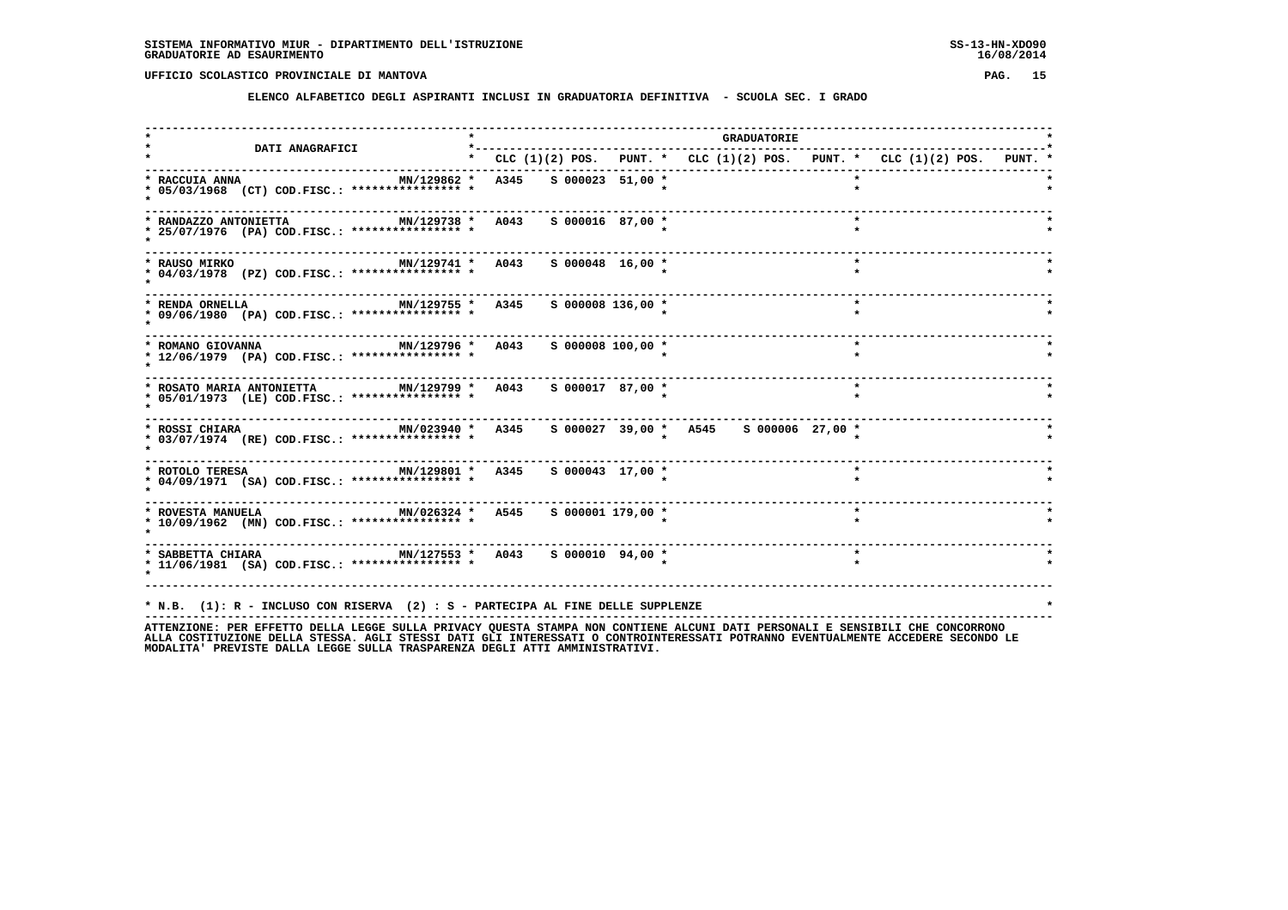**ELENCO ALFABETICO DEGLI ASPIRANTI INCLUSI IN GRADUATORIA DEFINITIVA - SCUOLA SEC. I GRADO**

| DATI ANAGRAFICI                                                                                                                      | *---------            |                       |  | <b>GRADUATORIE</b> |                                                                           |  |
|--------------------------------------------------------------------------------------------------------------------------------------|-----------------------|-----------------------|--|--------------------|---------------------------------------------------------------------------|--|
|                                                                                                                                      |                       |                       |  |                    | * CLC (1)(2) POS. PUNT. * CLC (1)(2) POS. PUNT. * CLC (1)(2) POS. PUNT. * |  |
| * RACCUIA ANNA<br>MN/129862 *<br>* 05/03/1968 (CT) COD.FISC.: **************** *                                                     | A345 S 000023 51,00 * |                       |  |                    |                                                                           |  |
| MN/129738 * A043<br>* RANDAZZO ANTONIETTA<br>* 25/07/1976 (PA) COD.FISC.: **************** *                                         |                       | $S$ 000016 87,00 *    |  |                    |                                                                           |  |
| MN/129741 * A043<br>* RAUSO MIRKO<br>* 04/03/1978 (PZ) COD.FISC.: **************** *                                                 |                       | $S$ 000048 16,00 *    |  |                    | $\star$                                                                   |  |
| MN/129755 * A345 S 000008 136,00 *<br>* RENDA ORNELLA<br>* 09/06/1980 (PA) COD.FISC.: **************** *                             |                       |                       |  |                    | $\star$                                                                   |  |
| MN/129796 * A043<br>* ROMANO GIOVANNA<br>* 12/06/1979 (PA) COD.FISC.: **************** *                                             |                       | $S$ 000008 100,00 $*$ |  |                    | $\star$                                                                   |  |
| MN/129799 * A043<br>* ROSATO MARIA ANTONIETTA<br>* 05/01/1973 (LE) COD.FISC.: **************** *                                     |                       | S 000017 87,00 *      |  |                    | $\star$                                                                   |  |
| MN/023940 * A345 S 000027 39,00 * A545 S 000006 27,00 *<br>* ROSSI CHIARA<br>* 03/07/1974 (RE) COD.FISC.: **************** *         |                       |                       |  |                    |                                                                           |  |
| * 04/09/1971 (SA) COD.FISC.: **************** *                                                                                      |                       |                       |  |                    |                                                                           |  |
| * ROVESTA MANUELA <b>MANUELA</b> MAN / 026324 * A545<br>* 10/09/1962 (MN) COD.FISC.: **************** *                              |                       | S 000001 179,00 *     |  |                    | $\star$                                                                   |  |
| * SABBETTA CHIARA                       MN/127553 *   A043     S 000010   94,00 *<br>* 11/06/1981 (SA) COD.FISC.: **************** * |                       |                       |  |                    | $\star$                                                                   |  |
| * N.B. (1): R - INCLUSO CON RISERVA (2) : S - PARTECIPA AL FINE DELLE SUPPLENZE                                                      |                       |                       |  |                    |                                                                           |  |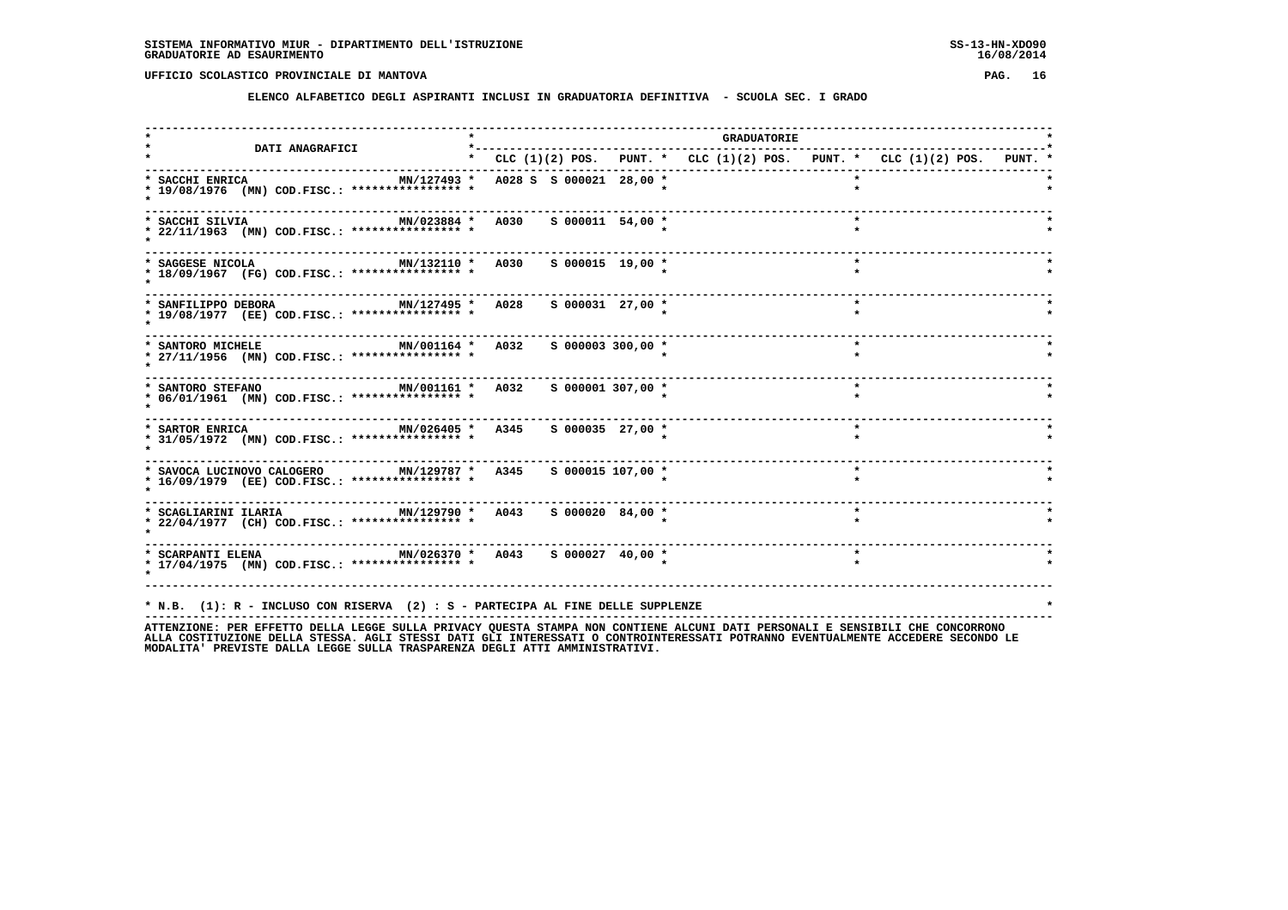**ELENCO ALFABETICO DEGLI ASPIRANTI INCLUSI IN GRADUATORIA DEFINITIVA - SCUOLA SEC. I GRADO**

| <b>DATI ANAGRAFICI</b>                                                                                                                                                                                                   | *-------------------------------------                                    |                       | <b>GRADUATORIE</b> |  |         |  |  |
|--------------------------------------------------------------------------------------------------------------------------------------------------------------------------------------------------------------------------|---------------------------------------------------------------------------|-----------------------|--------------------|--|---------|--|--|
|                                                                                                                                                                                                                          | * CLC (1)(2) POS. PUNT. * CLC (1)(2) POS. PUNT. * CLC (1)(2) POS. PUNT. * |                       |                    |  |         |  |  |
| MN/127493 * A028 S S 000021 28,00 *<br>* SACCHI ENRICA<br>* 19/08/1976 (MN) COD.FISC.: **************** *                                                                                                                |                                                                           |                       |                    |  |         |  |  |
| MN/023884 * A030<br>* SACCHI SILVIA<br>* 22/11/1963 (MN) COD.FISC.: **************** *                                                                                                                                   |                                                                           | $S$ 000011 54,00 *    |                    |  |         |  |  |
| MN/132110 * A030 S 000015 19,00 *<br>* SAGGESE NICOLA<br>* 18/09/1967 (FG) COD.FISC.: **************** *                                                                                                                 |                                                                           |                       |                    |  | $\star$ |  |  |
| MN/127495 * A028 S 000031 27,00 *<br>* SANFILIPPO DEBORA<br>* 19/08/1977 (EE) COD.FISC.: **************** *                                                                                                              |                                                                           |                       |                    |  | $\star$ |  |  |
| ------------------------------------<br>MN/001164 * A032<br>* SANTORO MICHELE<br>* 27/11/1956 (MN) COD.FISC.: **************** *                                                                                         |                                                                           | $S$ 000003 300,00 $*$ |                    |  |         |  |  |
| MN/001161 * A032<br>* SANTORO STEFANO<br>* 06/01/1961 (MN) COD.FISC.: **************** *                                                                                                                                 |                                                                           | $S$ 000001 307,00 $*$ |                    |  | $\star$ |  |  |
| MN/026405 * A345 S 000035 27,00 *<br>* SARTOR ENRICA<br>* 31/05/1972 (MN) COD.FISC.: **************** *                                                                                                                  |                                                                           |                       |                    |  | $\star$ |  |  |
| * SAVOCA LUCINOVO CALOGERO MN/129787 * A345 S 000015 107,00 *<br>* 16/09/1979 (EE) COD.FISC.: **************** *                                                                                                         |                                                                           |                       |                    |  |         |  |  |
| * SCAGLIARINI ILARIA               MN/129790 *   A043<br>* 22/04/1977 (CH) COD.FISC.: **************** *                                                                                                                 |                                                                           | S 000020 84,00 *      |                    |  |         |  |  |
| * SCARPANTI ELENA                         MN/026370 *   A043     S 000027   40,00 *<br>* 17/04/1975 (MN) COD.FISC.: **************** *                                                                                   |                                                                           |                       |                    |  | $\star$ |  |  |
| * N.B. (1): R - INCLUSO CON RISERVA (2) : S - PARTECIPA AL FINE DELLE SUPPLENZE<br>ATTENTIONE. OF FEET ON THE CONFIDENTIAL STILLE STILLER ON THE STANDA NON CONTIENT ALCUNITE ATTE OF CONTALLE CENCELLITE CUP CONCORDONO |                                                                           |                       |                    |  |         |  |  |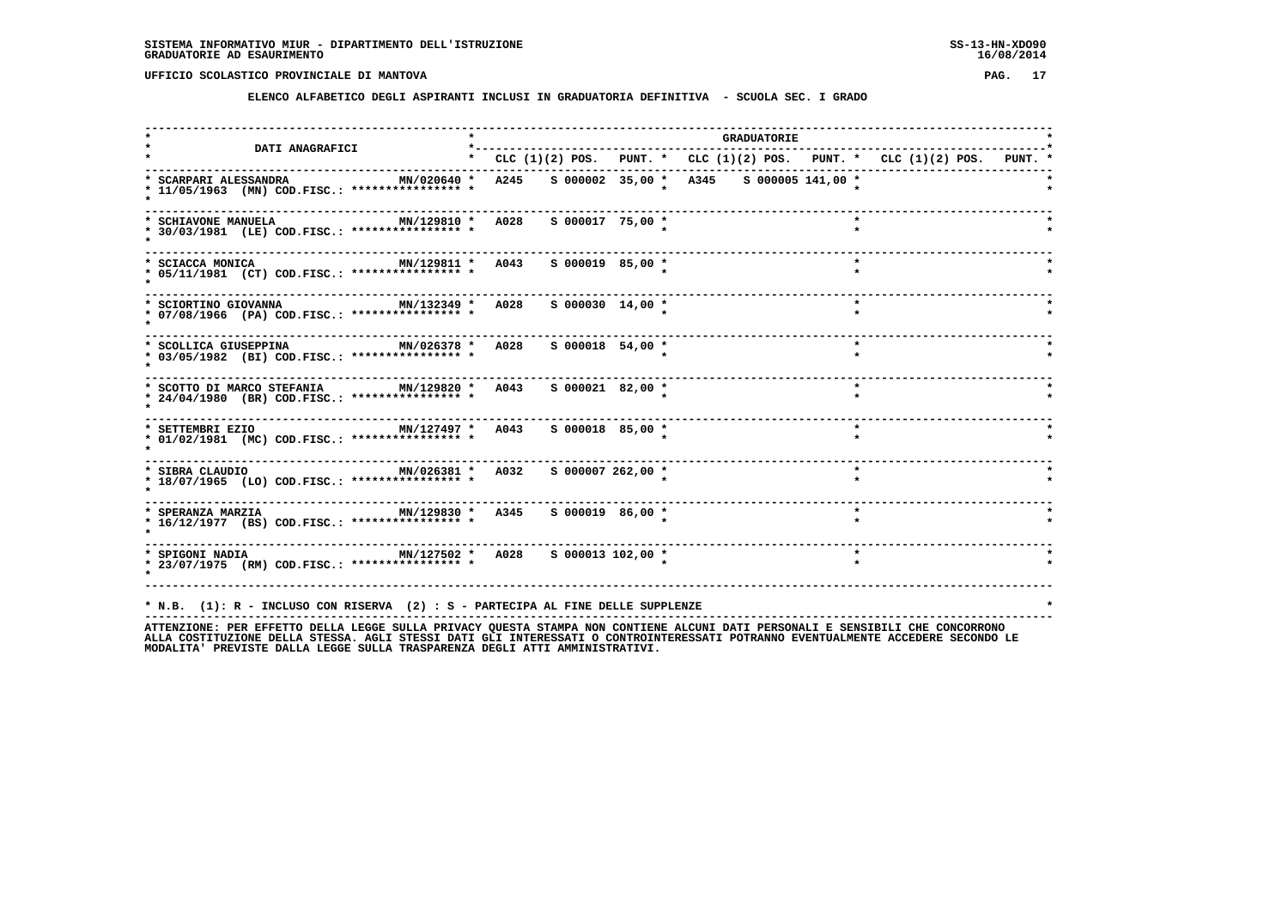**ELENCO ALFABETICO DEGLI ASPIRANTI INCLUSI IN GRADUATORIA DEFINITIVA - SCUOLA SEC. I GRADO**

| <b>DATI ANAGRAFICI</b>                                                                                      | <b>GRADUATORIE</b> |                                   |  |  |                                                                           |  |  |  |  |  |  |
|-------------------------------------------------------------------------------------------------------------|--------------------|-----------------------------------|--|--|---------------------------------------------------------------------------|--|--|--|--|--|--|
|                                                                                                             |                    |                                   |  |  | * CLC (1)(2) POS. PUNT. * CLC (1)(2) POS. PUNT. * CLC (1)(2) POS. PUNT. * |  |  |  |  |  |  |
| * SCARPARI ALESSANDRA<br>* 11/05/1963 (MN) COD.FISC.: **************** *                                    |                    |                                   |  |  | MN/020640 * A245 S 000002 35,00 * A345 S 000005 141,00 *                  |  |  |  |  |  |  |
| MN/129810 * A028 S 000017 75,00 *<br>* SCHIAVONE MANUELA<br>* 30/03/1981 (LE) COD.FISC.: **************** * |                    |                                   |  |  | $\star$                                                                   |  |  |  |  |  |  |
| * SCIACCA MONICA<br>* 05/11/1981 (CT) COD.FISC.: **************** *                                         |                    | MN/129811 * A043 S 000019 85,00 * |  |  | $\star$                                                                   |  |  |  |  |  |  |
| MN/132349 * A028<br>* SCIORTINO GIOVANNA<br>* 07/08/1966 (PA) COD.FISC.: **************** *                 |                    | $S$ 000030 14,00 $*$              |  |  | $\star$                                                                   |  |  |  |  |  |  |
| * SCOLLICA GIUSEPPINA 600 MN/026378 * A028<br>* 03/05/1982 (BI) COD.FISC.: **************** *               |                    | $S$ 000018 54,00 $*$              |  |  | $\star$                                                                   |  |  |  |  |  |  |
| * SCOTTO DI MARCO STEFANIA MN/129820 * A043<br>* 24/04/1980 (BR) COD.FISC.: **************** *              |                    | $S$ 000021 82,00 $*$              |  |  | $\star$                                                                   |  |  |  |  |  |  |
| * SETTEMBRI EZIO<br>* 01/02/1981 (MC) COD.FISC.: **************** *                                         |                    |                                   |  |  | $\star$                                                                   |  |  |  |  |  |  |
| * 18/07/1965 (LO) COD.FISC.: **************** *                                                             |                    | S 000007 262,00 *                 |  |  | $\star$                                                                   |  |  |  |  |  |  |
| * 16/12/1977 (BS) COD.FISC.: **************** *                                                             |                    |                                   |  |  | $\star$                                                                   |  |  |  |  |  |  |
| * SPIGONI NADIA $MN/127502$ * A028 \$ 000013 102,00 *<br>* 23/07/1975 (RM) COD.FISC.: **************** *    |                    |                                   |  |  | $\star$                                                                   |  |  |  |  |  |  |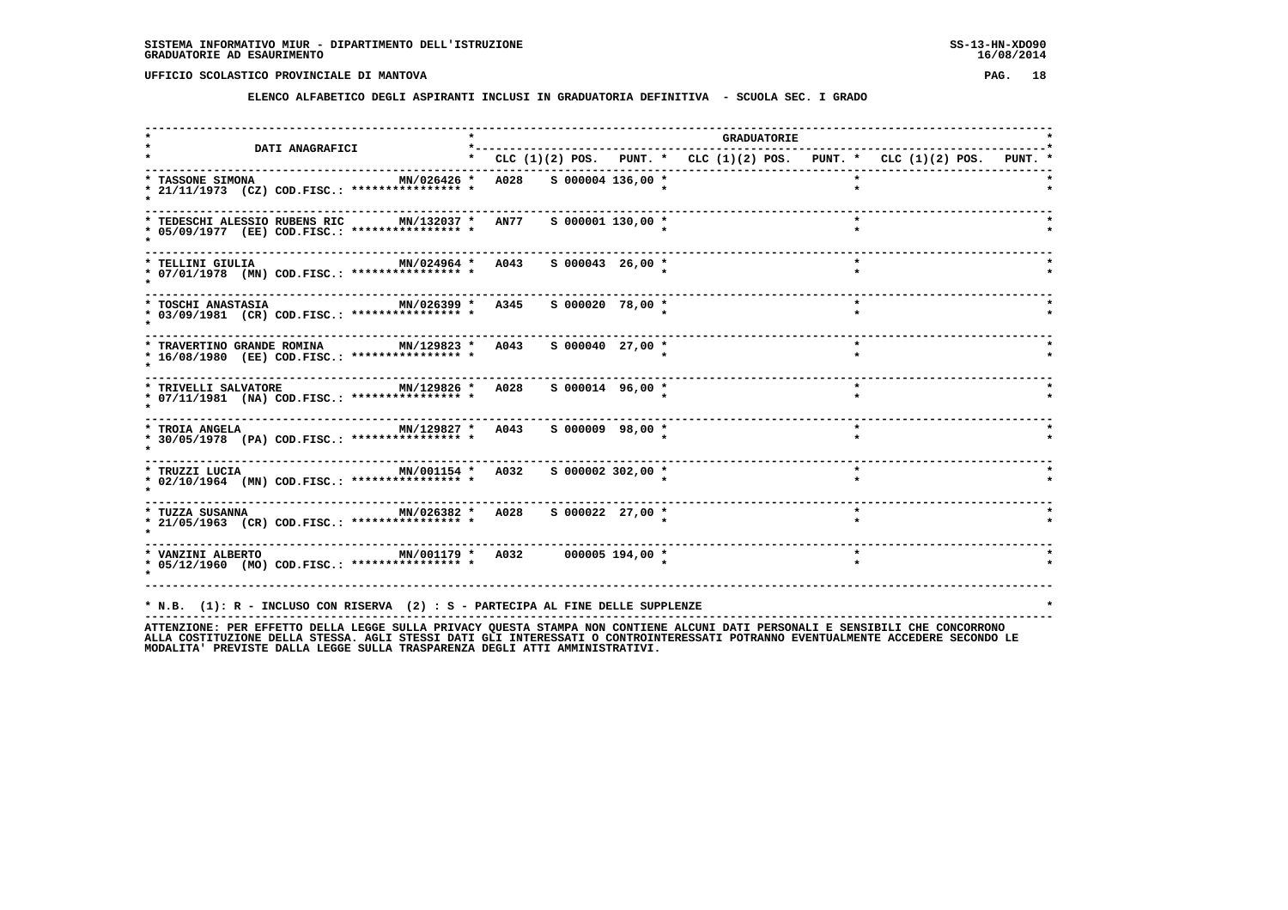**ELENCO ALFABETICO DEGLI ASPIRANTI INCLUSI IN GRADUATORIA DEFINITIVA - SCUOLA SEC. I GRADO**

| <b>DATI ANAGRAFICI</b>                                                                                                                  | *---------                                                                |                      |  | GRADUATORIE |         |  |  |
|-----------------------------------------------------------------------------------------------------------------------------------------|---------------------------------------------------------------------------|----------------------|--|-------------|---------|--|--|
|                                                                                                                                         | * CLC (1)(2) POS. PUNT. * CLC (1)(2) POS. PUNT. * CLC (1)(2) POS. PUNT. * |                      |  |             |         |  |  |
| MN/026426 *<br>* TASSONE SIMONA<br>* 21/11/1973 (CZ) COD.FISC.: **************** *                                                      | A028                                                                      | $S$ 000004 136,00 *  |  |             |         |  |  |
| * TEDESCHI ALESSIO RUBENS RIC MN/132037 * AN77<br>* 05/09/1977 (EE) COD.FISC.: **************** *                                       |                                                                           | $S$ 000001 130,00 *  |  |             | $\star$ |  |  |
| MN/024964 * A043<br>* TELLINI GIULIA<br>* 07/01/1978 (MN) COD.FISC.: **************** *                                                 |                                                                           | $S$ 000043 26,00 *   |  |             | $\star$ |  |  |
| MN/026399 * A345<br>* TOSCHI ANASTASIA<br>* 03/09/1981 (CR) COD.FISC.: **************** *                                               |                                                                           | S 000020 78,00 *     |  |             | $\star$ |  |  |
| * TRAVERTINO GRANDE ROMINA MN/129823 * A043<br>* 16/08/1980 (EE) COD.FISC.: **************** *                                          |                                                                           | $S$ 000040 27,00 $*$ |  |             | $\star$ |  |  |
| $MN/129826$ *<br>* TRIVELLI SALVATORE<br>* 07/11/1981 (NA) COD.FISC.: **************** *                                                | A028                                                                      | $S$ 000014 96,00 *   |  |             | $\star$ |  |  |
| * TROIA ANGELA                             MN/129827 *   A043     S 000009   98,00 *<br>* 30/05/1978 (PA) COD.FISC.: **************** * |                                                                           |                      |  |             | $\star$ |  |  |
| * TRUZZI LUCIA $MN/001154$ * A032<br>* 02/10/1964 (MN) COD.FISC.: **************** *                                                    |                                                                           | S 000002 302,00 *    |  |             |         |  |  |
| * 21/05/1963 (CR) COD.FISC.: **************** *                                                                                         |                                                                           | S 000022 27,00 *     |  |             | $\star$ |  |  |
| * VANZINI ALBERTO                       MN/001179 *   A032       000005 194,00 *<br>* 05/12/1960 (MO) COD.FISC.: **************** *     |                                                                           |                      |  |             |         |  |  |
|                                                                                                                                         |                                                                           |                      |  |             |         |  |  |
| * N.B. (1): R - INCLUSO CON RISERVA (2) : S - PARTECIPA AL FINE DELLE SUPPLENZE                                                         |                                                                           |                      |  |             |         |  |  |